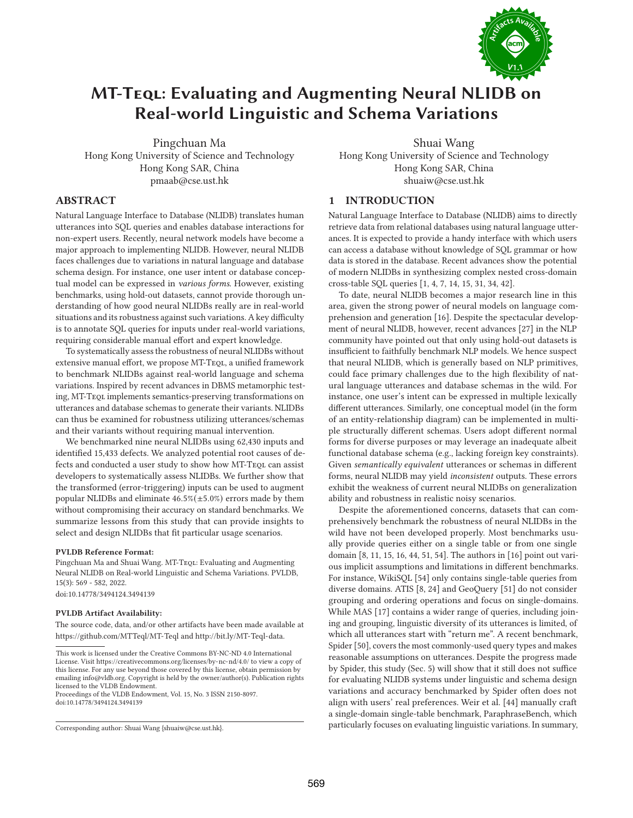

# **MT-Teql: Evaluating and Augmenting Neural NLIDB on Real-world Linguistic and Schema Variations**

Pingchuan Ma Hong Kong University of Science and Technology Hong Kong SAR, China pmaab@cse.ust.hk

Shuai Wang Hong Kong University of Science and Technology Hong Kong SAR, China

shuaiw@cse.ust.hk

# **1 INTRODUCTION**

Natural Language Interface to Database (NLIDB) translates human utterances into SQL queries and enables database interactions for non-expert users. Recently, neural network models have become a major approach to implementing NLIDB. However, neural NLIDB faces challenges due to variations in natural language and database schema design. For instance, one user intent or database conceptual model can be expressed in various forms. However, existing benchmarks, using hold-out datasets, cannot provide thorough understanding of how good neural NLIDBs really are in real-world situations and its robustness against such variations. A key difficulty is to annotate SQL queries for inputs under real-world variations, requiring considerable manual effort and expert knowledge.

To systematically assess the robustness of neural NLIDBs without extensive manual effort, we propose MT-TEQL, a unified framework to benchmark NLIDBs against real-world language and schema variations. Inspired by recent advances in DBMS metamorphic testing, MT-Teql implements semantics-preserving transformations on utterances and database schemas to generate their variants. NLIDBs can thus be examined for robustness utilizing utterances/schemas and their variants without requiring manual intervention.

We benchmarked nine neural NLIDBs using 62,430 inputs and identified 15,433 defects. We analyzed potential root causes of defects and conducted a user study to show how MT-TEQL can assist developers to systematically assess NLIDBs. We further show that the transformed (error-triggering) inputs can be used to augment popular NLIDBs and eliminate  $46.5\%(\pm 5.0\%)$  errors made by them without compromising their accuracy on standard benchmarks. We summarize lessons from this study that can provide insights to select and design NLIDBs that fit particular usage scenarios.

## **PVLDB Reference Format:**

**ABSTRACT**

Pingchuan Ma and Shuai Wang. MT-Teqt: Evaluating and Augmenting Neural NLIDB on Real-world Linguistic and Schema Variations. PVLDB, 15(3): 569 - 582, 2022. doi:10.14778/3494124.3494139

#### **PVLDB Artifact Availability:**

The source code, data, and/or other artifacts have been made available at https://github.com/MTTeql/MT-Teql and http://bit.ly/MT-Teql-data.

Proceedings of the VLDB Endowment, Vol. 15, No. 3 ISSN 2150-8097. doi:10.14778/3494124.3494139

Natural Language Interface to Database (NLIDB) aims to directly retrieve data from relational databases using natural language utterances. It is expected to provide a handy interface with which users can access a database without knowledge of SQL grammar or how data is stored in the database. Recent advances show the potential of modern NLIDBs in synthesizing complex nested cross-domain cross-table SQL queries [1, 4, 7, 14, 15, 31, 34, 42].

To date, neural NLIDB becomes a major research line in this area, given the strong power of neural models on language comprehension and generation [16]. Despite the spectacular development of neural NLIDB, however, recent advances [27] in the NLP community have pointed out that only using hold-out datasets is insufficient to faithfully benchmark NLP models. We hence suspect that neural NLIDB, which is generally based on NLP primitives, could face primary challenges due to the high flexibility of natural language utterances and database schemas in the wild. For instance, one user's intent can be expressed in multiple lexically different utterances. Similarly, one conceptual model (in the form of an entity-relationship diagram) can be implemented in multiple structurally different schemas. Users adopt different normal forms for diverse purposes or may leverage an inadequate albeit functional database schema (e.g., lacking foreign key constraints). Given semantically equivalent utterances or schemas in different forms, neural NLIDB may yield inconsistent outputs. These errors exhibit the weakness of current neural NLIDBs on generalization ability and robustness in realistic noisy scenarios.

Despite the aforementioned concerns, datasets that can comprehensively benchmark the robustness of neural NLIDBs in the wild have not been developed properly. Most benchmarks usually provide queries either on a single table or from one single domain [8, 11, 15, 16, 44, 51, 54]. The authors in [16] point out various implicit assumptions and limitations in different benchmarks. For instance, WikiSQL [54] only contains single-table queries from diverse domains. ATIS [8, 24] and GeoQuery [51] do not consider grouping and ordering operations and focus on single-domains. While MAS [17] contains a wider range of queries, including joining and grouping, linguistic diversity of its utterances is limited, of which all utterances start with "return me". A recent benchmark, Spider [50], covers the most commonly-used query types and makes reasonable assumptions on utterances. Despite the progress made by Spider, this study (Sec. 5) will show that it still does not suffice for evaluating NLIDB systems under linguistic and schema design variations and accuracy benchmarked by Spider often does not align with users' real preferences. Weir et al. [44] manually craft a single-domain single-table benchmark, ParaphraseBench, which particularly focuses on evaluating linguistic variations. In summary,

This work is licensed under the Creative Commons BY-NC-ND 4.0 International License. Visit https://creativecommons.org/licenses/by-nc-nd/4.0/ to view a copy of this license. For any use beyond those covered by this license, obtain permission by emailing info@vldb.org. Copyright is held by the owner/author(s). Publication rights licensed to the VLDB Endowment.

Corresponding author: Shuai Wang {shuaiw@cse.ust.hk}.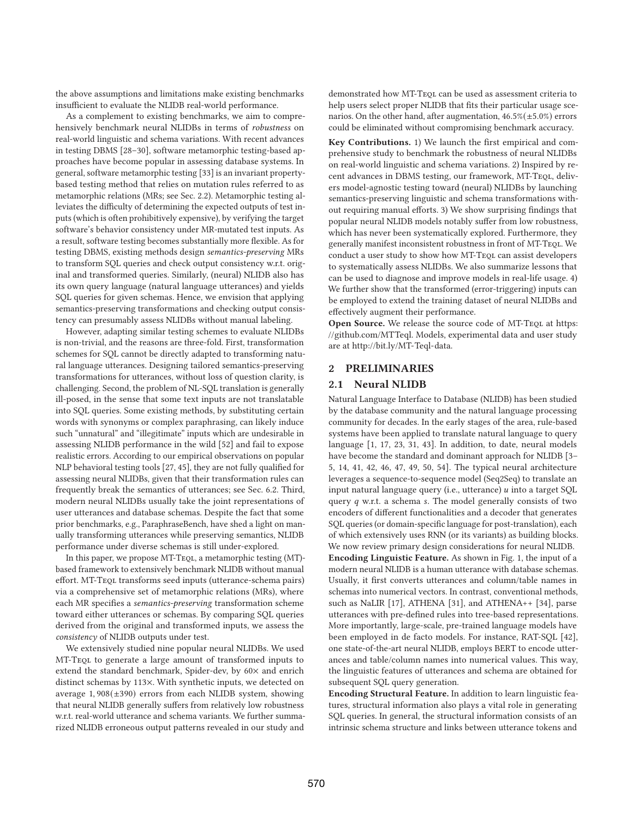the above assumptions and limitations make existing benchmarks insufficient to evaluate the NLIDB real-world performance.

As a complement to existing benchmarks, we aim to comprehensively benchmark neural NLIDBs in terms of robustness on real-world linguistic and schema variations. With recent advances in testing DBMS [28–30], software metamorphic testing-based approaches have become popular in assessing database systems. In general, software metamorphic testing [33] is an invariant propertybased testing method that relies on mutation rules referred to as metamorphic relations (MRs; see Sec. 2.2). Metamorphic testing alleviates the difficulty of determining the expected outputs of test inputs (which is often prohibitively expensive), by verifying the target software's behavior consistency under MR-mutated test inputs. As a result, software testing becomes substantially more flexible. As for testing DBMS, existing methods design semantics-preserving MRs to transform SQL queries and check output consistency w.r.t. original and transformed queries. Similarly, (neural) NLIDB also has its own query language (natural language utterances) and yields SQL queries for given schemas. Hence, we envision that applying semantics-preserving transformations and checking output consistency can presumably assess NLIDBs without manual labeling.

However, adapting similar testing schemes to evaluate NLIDBs is non-trivial, and the reasons are three-fold. First, transformation schemes for SQL cannot be directly adapted to transforming natural language utterances. Designing tailored semantics-preserving transformations for utterances, without loss of question clarity, is challenging. Second, the problem of NL-SQL translation is generally ill-posed, in the sense that some text inputs are not translatable into SQL queries. Some existing methods, by substituting certain words with synonyms or complex paraphrasing, can likely induce such "unnatural" and "illegitimate" inputs which are undesirable in assessing NLIDB performance in the wild [52] and fail to expose realistic errors. According to our empirical observations on popular NLP behavioral testing tools [27, 45], they are not fully qualified for assessing neural NLIDBs, given that their transformation rules can frequently break the semantics of utterances; see Sec. 6.2. Third, modern neural NLIDBs usually take the joint representations of user utterances and database schemas. Despite the fact that some prior benchmarks, e.g., ParaphraseBench, have shed a light on manually transforming utterances while preserving semantics, NLIDB performance under diverse schemas is still under-explored.

In this paper, we propose MT-TeQL, a metamorphic testing (MT)based framework to extensively benchmark NLIDB without manual effort. MT-Teql transforms seed inputs (utterance-schema pairs) via a comprehensive set of metamorphic relations (MRs), where each MR specifies a semantics-preserving transformation scheme toward either utterances or schemas. By comparing SQL queries derived from the original and transformed inputs, we assess the consistency of NLIDB outputs under test.

We extensively studied nine popular neural NLIDBs. We used MT-Teql to generate a large amount of transformed inputs to extend the standard benchmark, Spider-dev, by 60× and enrich distinct schemas by 113×. With synthetic inputs, we detected on average 1, 908(±390) errors from each NLIDB system, showing that neural NLIDB generally suffers from relatively low robustness w.r.t. real-world utterance and schema variants. We further summarized NLIDB erroneous output patterns revealed in our study and demonstrated how MT-Teql can be used as assessment criteria to help users select proper NLIDB that fits their particular usage scenarios. On the other hand, after augmentation,  $46.5\%(\pm 5.0\%)$  errors could be eliminated without compromising benchmark accuracy.

**Key Contributions.** 1) We launch the first empirical and comprehensive study to benchmark the robustness of neural NLIDBs on real-world linguistic and schema variations. 2) Inspired by recent advances in DBMS testing, our framework, MT-TEQL, delivers model-agnostic testing toward (neural) NLIDBs by launching semantics-preserving linguistic and schema transformations without requiring manual efforts. 3) We show surprising findings that popular neural NLIDB models notably suffer from low robustness, which has never been systematically explored. Furthermore, they generally manifest inconsistent robustness in front of MT-Teql. We conduct a user study to show how MT-TEQL can assist developers to systematically assess NLIDBs. We also summarize lessons that can be used to diagnose and improve models in real-life usage. 4) We further show that the transformed (error-triggering) inputs can be employed to extend the training dataset of neural NLIDBs and effectively augment their performance.

**Open Source.** We release the source code of MT-TEQL at https: //github.com/MTTeql. Models, experimental data and user study are at http://bit.ly/MT-Teql-data.

# **2 PRELIMINARIES**

## **2.1 Neural NLIDB**

Natural Language Interface to Database (NLIDB) has been studied by the database community and the natural language processing community for decades. In the early stages of the area, rule-based systems have been applied to translate natural language to query language [1, 17, 23, 31, 43]. In addition, to date, neural models have become the standard and dominant approach for NLIDB [3– 5, 14, 41, 42, 46, 47, 49, 50, 54]. The typical neural architecture leverages a sequence-to-sequence model (Seq2Seq) to translate an input natural language query (i.e., utterance)  $u$  into a target SQL query  $q$  w.r.t. a schema s. The model generally consists of two encoders of different functionalities and a decoder that generates SQL queries (or domain-specific language for post-translation), each of which extensively uses RNN (or its variants) as building blocks. We now review primary design considerations for neural NLIDB. **Encoding Linguistic Feature.** As shown in Fig. 1, the input of a modern neural NLIDB is a human utterance with database schemas. Usually, it first converts utterances and column/table names in schemas into numerical vectors. In contrast, conventional methods, such as NaLIR [17], ATHENA [31], and ATHENA++ [34], parse utterances with pre-defined rules into tree-based representations. More importantly, large-scale, pre-trained language models have been employed in de facto models. For instance, RAT-SQL [42], one state-of-the-art neural NLIDB, employs BERT to encode utterances and table/column names into numerical values. This way, the linguistic features of utterances and schema are obtained for subsequent SQL query generation.

**Encoding Structural Feature.** In addition to learn linguistic features, structural information also plays a vital role in generating SQL queries. In general, the structural information consists of an intrinsic schema structure and links between utterance tokens and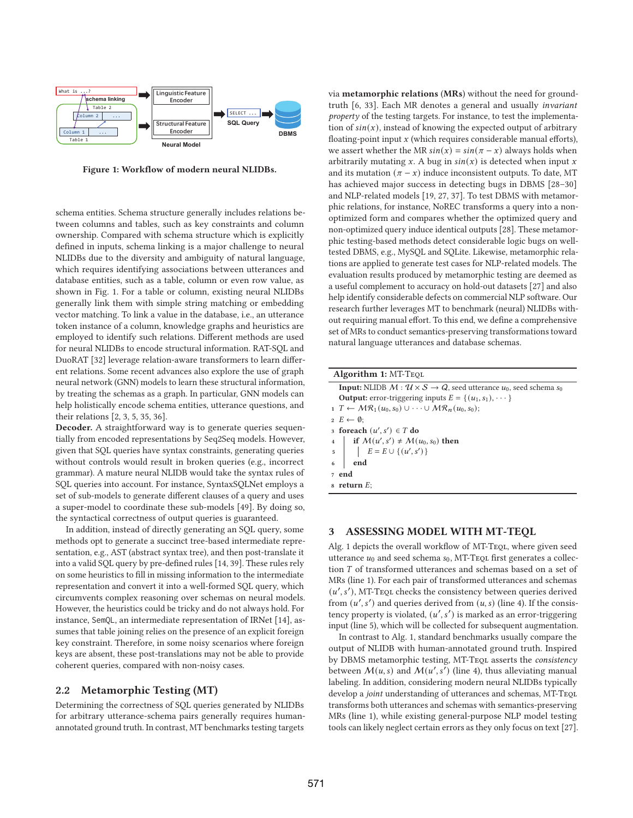

**Figure 1: Workflow of modern neural NLIDBs.**

schema entities. Schema structure generally includes relations between columns and tables, such as key constraints and column ownership. Compared with schema structure which is explicitly defined in inputs, schema linking is a major challenge to neural NLIDBs due to the diversity and ambiguity of natural language, which requires identifying associations between utterances and database entities, such as a table, column or even row value, as shown in Fig. 1. For a table or column, existing neural NLIDBs generally link them with simple string matching or embedding vector matching. To link a value in the database, i.e., an utterance token instance of a column, knowledge graphs and heuristics are employed to identify such relations. Different methods are used for neural NLIDBs to encode structural information. RAT-SQL and DuoRAT [32] leverage relation-aware transformers to learn different relations. Some recent advances also explore the use of graph neural network (GNN) models to learn these structural information, by treating the schemas as a graph. In particular, GNN models can help holistically encode schema entities, utterance questions, and their relations [2, 3, 5, 35, 36].

**Decoder.** A straightforward way is to generate queries sequentially from encoded representations by Seq2Seq models. However, given that SQL queries have syntax constraints, generating queries without controls would result in broken queries (e.g., incorrect grammar). A mature neural NLIDB would take the syntax rules of SQL queries into account. For instance, SyntaxSQLNet employs a set of sub-models to generate different clauses of a query and uses a super-model to coordinate these sub-models [49]. By doing so, the syntactical correctness of output queries is guaranteed.

In addition, instead of directly generating an SQL query, some methods opt to generate a succinct tree-based intermediate representation, e.g., AST (abstract syntax tree), and then post-translate it into a valid SQL query by pre-defined rules [14, 39]. These rules rely on some heuristics to fill in missing information to the intermediate representation and convert it into a well-formed SQL query, which circumvents complex reasoning over schemas on neural models. However, the heuristics could be tricky and do not always hold. For instance, SemQL, an intermediate representation of IRNet [14], assumes that table joining relies on the presence of an explicit foreign key constraint. Therefore, in some noisy scenarios where foreign keys are absent, these post-translations may not be able to provide coherent queries, compared with non-noisy cases.

# **2.2 Metamorphic Testing (MT)**

Determining the correctness of SQL queries generated by NLIDBs for arbitrary utterance-schema pairs generally requires humanannotated ground truth. In contrast, MT benchmarks testing targets

via **metamorphic relations** (**MRs**) without the need for groundtruth [6, 33]. Each MR denotes a general and usually invariant property of the testing targets. For instance, to test the implementation of  $sin(x)$ , instead of knowing the expected output of arbitrary floating-point input  $x$  (which requires considerable manual efforts), we assert whether the MR  $sin(x) = sin(\pi - x)$  always holds when arbitrarily mutating  $x$ . A bug in  $sin(x)$  is detected when input  $x$ and its mutation  $(\pi - x)$  induce inconsistent outputs. To date, MT has achieved major success in detecting bugs in DBMS [28–30] and NLP-related models [19, 27, 37]. To test DBMS with metamorphic relations, for instance, NoREC transforms a query into a nonoptimized form and compares whether the optimized query and non-optimized query induce identical outputs [28]. These metamorphic testing-based methods detect considerable logic bugs on welltested DBMS, e.g., MySQL and SQLite. Likewise, metamorphic relations are applied to generate test cases for NLP-related models. The evaluation results produced by metamorphic testing are deemed as a useful complement to accuracy on hold-out datasets [27] and also help identify considerable defects on commercial NLP software. Our research further leverages MT to benchmark (neural) NLIDBs without requiring manual effort. To this end, we define a comprehensive set of MRs to conduct semantics-preserving transformations toward natural language utterances and database schemas.

| <b>Algorithm 1: MT-TEQL</b>                                                                                                         |  |  |  |  |  |  |
|-------------------------------------------------------------------------------------------------------------------------------------|--|--|--|--|--|--|
| <b>Input:</b> NLIDB $M: \mathcal{U} \times \mathcal{S} \rightarrow \mathcal{Q}$ , seed utterance $u_0$ , seed schema s <sub>0</sub> |  |  |  |  |  |  |
| <b>Output:</b> error-triggering inputs $E = \{(u_1, s_1), \dots\}$                                                                  |  |  |  |  |  |  |
| $T \leftarrow \mathcal{MR}_1(u_0, s_0) \cup \cdots \cup \mathcal{MR}_n(u_0, s_0);$                                                  |  |  |  |  |  |  |
| $2 E \leftarrow \emptyset$                                                                                                          |  |  |  |  |  |  |
| 3 foreach $(u', s') \in T$ do                                                                                                       |  |  |  |  |  |  |
| 4   if $M(u', s') \neq M(u_0, s_0)$ then                                                                                            |  |  |  |  |  |  |
| 5   $E = E \cup \{(u', s')\}$                                                                                                       |  |  |  |  |  |  |
| 6<br>end                                                                                                                            |  |  |  |  |  |  |
| 7 end                                                                                                                               |  |  |  |  |  |  |
| $\bf s$ return $\bf E$ :                                                                                                            |  |  |  |  |  |  |

## **3 ASSESSING MODEL WITH MT-TEQL**

Alg. 1 depicts the overall workflow of MT-TEQL, where given seed utterance  $u_0$  and seed schema  $s_0$ , MT-TeQL first generates a collection  $T$  of transformed utterances and schemas based on a set of MRs (line 1). For each pair of transformed utterances and schemas  $(u', s')$ , MT-TEQL checks the consistency between queries derived from  $(u', s')$  and queries derived from  $(u, s)$  (line 4). If the consistency property is violated,  $(u', s')$  is marked as an error-triggering input (line 5), which will be collected for subsequent augmentation.

In contrast to Alg. 1, standard benchmarks usually compare the output of NLIDB with human-annotated ground truth. Inspired by DBMS metamorphic testing, MT-TEQL asserts the consistency between  $M(u, s)$  and  $M(u', s')$  (line 4), thus alleviating manual labeling. In addition, considering modern neural NLIDBs typically develop a joint understanding of utterances and schemas, MT-TEQL transforms both utterances and schemas with semantics-preserving MRs (line 1), while existing general-purpose NLP model testing tools can likely neglect certain errors as they only focus on text [27].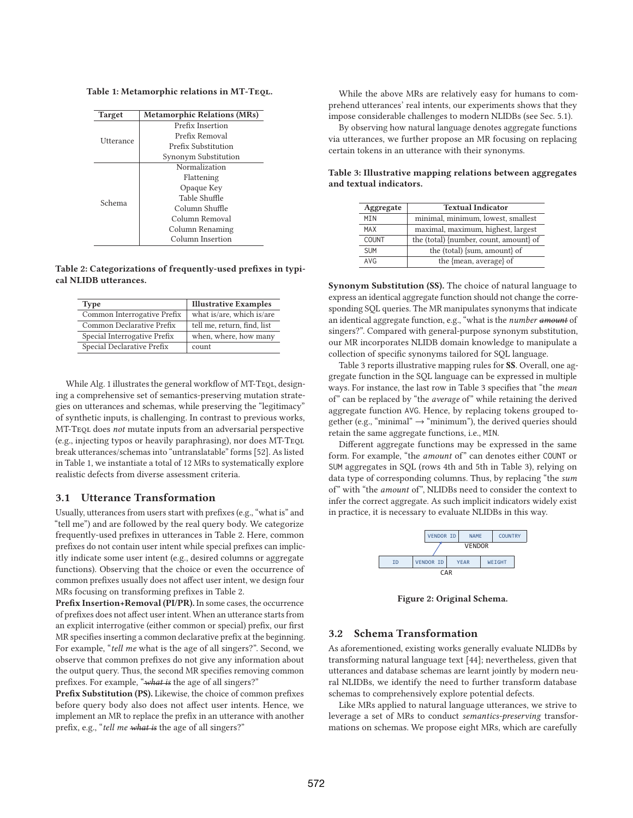**Table 1: Metamorphic relations in MT-Teql.**

| <b>Target</b> | <b>Metamorphic Relations (MRs)</b> |
|---------------|------------------------------------|
|               | Prefix Insertion                   |
| Utterance     | Prefix Removal                     |
|               | Prefix Substitution                |
|               | Synonym Substitution               |
|               | Normalization                      |
|               | Flattening                         |
|               | Opaque Key                         |
| Schema        | Table Shuffle                      |
|               | Column Shuffle                     |
|               | Column Removal                     |
|               | Column Renaming                    |
|               | Column Insertion                   |

**Table 2: Categorizations of frequently-used prefixes in typical NLIDB utterances.**

| <b>Type</b>                  | <b>Illustrative Examples</b> |
|------------------------------|------------------------------|
| Common Interrogative Prefix  | what is/are, which is/are    |
| Common Declarative Prefix    | tell me, return, find, list  |
| Special Interrogative Prefix | when, where, how many        |
| Special Declarative Prefix   | count                        |

While Alg. 1 illustrates the general workflow of MT-TEQL, designing a comprehensive set of semantics-preserving mutation strategies on utterances and schemas, while preserving the "legitimacy" of synthetic inputs, is challenging. In contrast to previous works, MT-Teql does not mutate inputs from an adversarial perspective (e.g., injecting typos or heavily paraphrasing), nor does MT-Teql break utterances/schemas into "untranslatable" forms [52]. As listed in Table 1, we instantiate a total of 12 MRs to systematically explore realistic defects from diverse assessment criteria.

# **3.1 Utterance Transformation**

Usually, utterances from users start with prefixes (e.g., "what is" and "tell me") and are followed by the real query body. We categorize frequently-used prefixes in utterances in Table 2. Here, common prefixes do not contain user intent while special prefixes can implicitly indicate some user intent (e.g., desired columns or aggregate functions). Observing that the choice or even the occurrence of common prefixes usually does not affect user intent, we design four MRs focusing on transforming prefixes in Table 2.

**Prefix Insertion+Removal (PI/PR).** In some cases, the occurrence of prefixes does not affect user intent. When an utterance starts from an explicit interrogative (either common or special) prefix, our first MR specifies inserting a common declarative prefix at the beginning. For example, "tell me what is the age of all singers?". Second, we observe that common prefixes do not give any information about the output query. Thus, the second MR specifies removing common prefixes. For example, "what is the age of all singers?"

**Prefix Substitution (PS).** Likewise, the choice of common prefixes before query body also does not affect user intents. Hence, we implement an MR to replace the prefix in an utterance with another prefix, e.g., "tell me what is the age of all singers?"

While the above MRs are relatively easy for humans to comprehend utterances' real intents, our experiments shows that they impose considerable challenges to modern NLIDBs (see Sec. 5.1).

By observing how natural language denotes aggregate functions via utterances, we further propose an MR focusing on replacing certain tokens in an utterance with their synonyms.

| Aggregate    | <b>Textual Indicator</b>               |
|--------------|----------------------------------------|
| MIN          | minimal, minimum, lowest, smallest     |
| MAX          | maximal, maximum, highest, largest     |
| <b>COUNT</b> | the (total) {number, count, amount} of |
| <b>SUM</b>   | the (total) {sum, amount} of           |
| AVG          | the {mean, average} of                 |

**Table 3: Illustrative mapping relations between aggregates and textual indicators.**

**Synonym Substitution (SS).** The choice of natural language to express an identical aggregate function should not change the corresponding SQL queries. The MR manipulates synonyms that indicate an identical aggregate function, e.g., "what is the number amount of singers?". Compared with general-purpose synonym substitution, our MR incorporates NLIDB domain knowledge to manipulate a collection of specific synonyms tailored for SQL language.

Table 3 reports illustrative mapping rules for **SS**. Overall, one aggregate function in the SQL language can be expressed in multiple ways. For instance, the last row in Table 3 specifies that "the mean of" can be replaced by "the average of" while retaining the derived aggregate function AVG. Hence, by replacing tokens grouped together (e.g., "minimal"  $\rightarrow$  "minimum"), the derived queries should retain the same aggregate functions, i.e., MIN.

Different aggregate functions may be expressed in the same form. For example, "the amount of" can denotes either COUNT or SUM aggregates in SQL (rows 4th and 5th in Table 3), relying on data type of corresponding columns. Thus, by replacing "the sum of" with "the amount of", NLIDBs need to consider the context to infer the correct aggregate. As such implicit indicators widely exist in practice, it is necessary to evaluate NLIDBs in this way.



**Figure 2: Original Schema.**

# **3.2 Schema Transformation**

As aforementioned, existing works generally evaluate NLIDBs by transforming natural language text [44]; nevertheless, given that utterances and database schemas are learnt jointly by modern neural NLIDBs, we identify the need to further transform database schemas to comprehensively explore potential defects.

Like MRs applied to natural language utterances, we strive to leverage a set of MRs to conduct semantics-preserving transformations on schemas. We propose eight MRs, which are carefully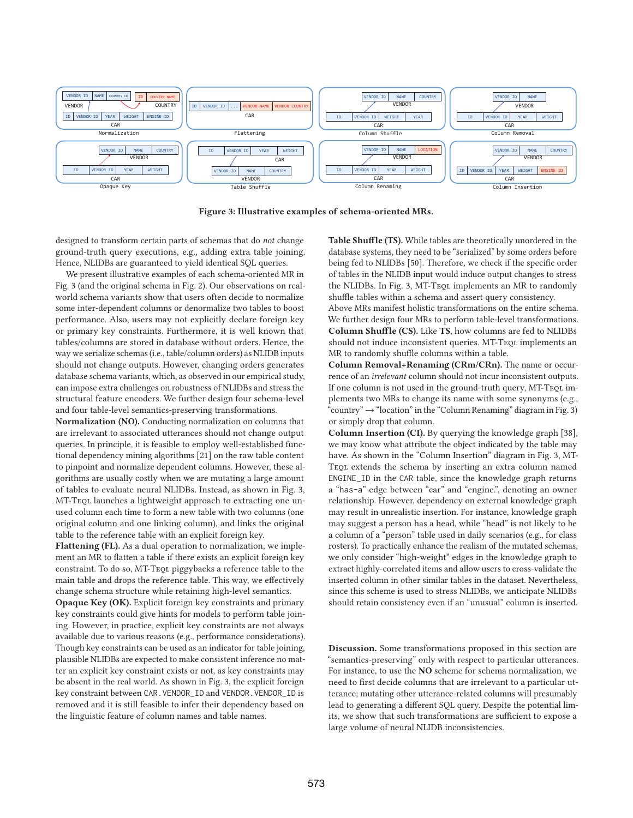

**Figure 3: Illustrative examples of schema-oriented MRs.**

designed to transform certain parts of schemas that do not change ground-truth query executions, e.g., adding extra table joining. Hence, NLIDBs are guaranteed to yield identical SQL queries.

We present illustrative examples of each schema-oriented MR in Fig. 3 (and the original schema in Fig. 2). Our observations on realworld schema variants show that users often decide to normalize some inter-dependent columns or denormalize two tables to boost performance. Also, users may not explicitly declare foreign key or primary key constraints. Furthermore, it is well known that tables/columns are stored in database without orders. Hence, the way we serialize schemas (i.e., table/column orders) as NLIDB inputs should not change outputs. However, changing orders generates database schema variants, which, as observed in our empirical study, can impose extra challenges on robustness of NLIDBs and stress the structural feature encoders. We further design four schema-level and four table-level semantics-preserving transformations.

**Normalization (NO).** Conducting normalization on columns that are irrelevant to associated utterances should not change output queries. In principle, it is feasible to employ well-established functional dependency mining algorithms [21] on the raw table content to pinpoint and normalize dependent columns. However, these algorithms are usually costly when we are mutating a large amount of tables to evaluate neural NLIDBs. Instead, as shown in Fig. 3, MT-Tequ launches a lightweight approach to extracting one unused column each time to form a new table with two columns (one original column and one linking column), and links the original table to the reference table with an explicit foreign key.

**Flattening (FL).** As a dual operation to normalization, we implement an MR to flatten a table if there exists an explicit foreign key constraint. To do so, MT-Teql piggybacks a reference table to the main table and drops the reference table. This way, we effectively change schema structure while retaining high-level semantics.

**Opaque Key (OK).** Explicit foreign key constraints and primary key constraints could give hints for models to perform table joining. However, in practice, explicit key constraints are not always available due to various reasons (e.g., performance considerations). Though key constraints can be used as an indicator for table joining, plausible NLIDBs are expected to make consistent inference no matter an explicit key constraint exists or not, as key constraints may be absent in the real world. As shown in Fig. 3, the explicit foreign key constraint between CAR. VENDOR\_ID and VENDOR. VENDOR\_ID is removed and it is still feasible to infer their dependency based on the linguistic feature of column names and table names.

**Table Shuffle (TS).** While tables are theoretically unordered in the database systems, they need to be "serialized" by some orders before being fed to NLIDBs [50]. Therefore, we check if the specific order of tables in the NLIDB input would induce output changes to stress the NLIDBs. In Fig. 3, MT-TeQL implements an MR to randomly shuffle tables within a schema and assert query consistency.

Above MRs manifest holistic transformations on the entire schema. We further design four MRs to perform table-level transformations. **Column Shuffle (CS).** Like **TS**, how columns are fed to NLIDBs should not induce inconsistent queries. MT-TEQL implements an MR to randomly shuffle columns within a table.

**Column Removal+Renaming (CRm/CRn).** The name or occurrence of an irrelevant column should not incur inconsistent outputs. If one column is not used in the ground-truth query, MT-TEQL implements two MRs to change its name with some synonyms (e.g., "country"  $\rightarrow$  "location" in the "Column Renaming" diagram in Fig. 3) or simply drop that column.

**Column Insertion (CI).** By querying the knowledge graph [38], we may know what attribute the object indicated by the table may have. As shown in the "Column Insertion" diagram in Fig. 3, MT-Teql extends the schema by inserting an extra column named ENGINE\_ID in the CAR table, since the knowledge graph returns a "has-a" edge between "car" and "engine.", denoting an owner relationship. However, dependency on external knowledge graph may result in unrealistic insertion. For instance, knowledge graph may suggest a person has a head, while "head" is not likely to be a column of a "person" table used in daily scenarios (e.g., for class rosters). To practically enhance the realism of the mutated schemas, we only consider "high-weight" edges in the knowledge graph to extract highly-correlated items and allow users to cross-validate the inserted column in other similar tables in the dataset. Nevertheless, since this scheme is used to stress NLIDBs, we anticipate NLIDBs should retain consistency even if an "unusual" column is inserted.

**Discussion.** Some transformations proposed in this section are "semantics-preserving" only with respect to particular utterances. For instance, to use the **NO** scheme for schema normalization, we need to first decide columns that are irrelevant to a particular utterance; mutating other utterance-related columns will presumably lead to generating a different SQL query. Despite the potential limits, we show that such transformations are sufficient to expose a large volume of neural NLIDB inconsistencies.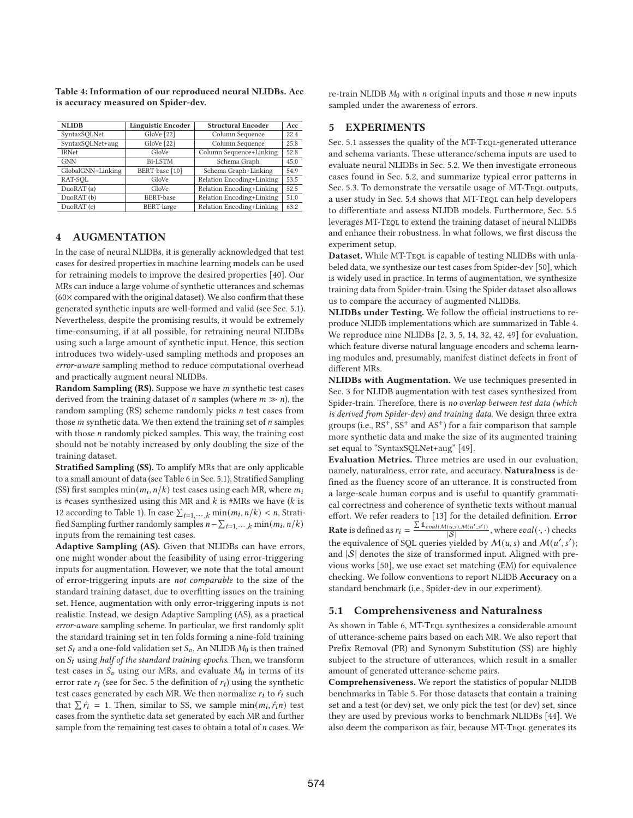**Table 4: Information of our reproduced neural NLIDBs. Acc is accuracy measured on Spider-dev.**

| <b>NLIDB</b>      | <b>Linguistic Encoder</b> | <b>Structural Encoder</b> | Acc  |
|-------------------|---------------------------|---------------------------|------|
| SyntaxSQLNet      | GloVe [22]                | Column Sequence           | 22.4 |
| SyntaxSQLNet+aug  | GloVe [22]                | Column Sequence           | 25.8 |
| <b>IRNet</b>      | GloVe                     | Column Sequence+Linking   | 52.8 |
| <b>GNN</b>        | <b>Bi-LSTM</b>            | Schema Graph              | 45.0 |
| GlobalGNN+Linking | BERT-base [10]            | Schema Graph+Linking      | 54.9 |
| RAT-SOL           | GloVe                     | Relation Encoding+Linking | 53.5 |
| DuoRAT (a)        | GloVe                     | Relation Encoding+Linking | 52.5 |
| DuoRAT (b)        | BERT-base                 | Relation Encoding+Linking | 51.0 |
| DuoRAT (c)        | <b>BERT-large</b>         | Relation Encoding+Linking | 63.2 |

# **4 AUGMENTATION**

In the case of neural NLIDBs, it is generally acknowledged that test cases for desired properties in machine learning models can be used for retraining models to improve the desired properties [40]. Our MRs can induce a large volume of synthetic utterances and schemas  $(60 \times$  compared with the original dataset). We also confirm that these generated synthetic inputs are well-formed and valid (see Sec. 5.1). Nevertheless, despite the promising results, it would be extremely time-consuming, if at all possible, for retraining neural NLIDBs using such a large amount of synthetic input. Hence, this section introduces two widely-used sampling methods and proposes an error-aware sampling method to reduce computational overhead and practically augment neural NLIDBs.

Random Sampling (RS). Suppose we have *m* synthetic test cases derived from the training dataset of *n* samples (where  $m \gg n$ ), the random sampling  $(RS)$  scheme randomly picks  $n$  test cases from those  $m$  synthetic data. We then extend the training set of  $n$  samples with those  $n$  randomly picked samples. This way, the training cost should not be notably increased by only doubling the size of the training dataset.

**Stratified Sampling (SS).** To amplify MRs that are only applicable to a small amount of data (see Table 6 in Sec. 5.1), Stratified Sampling (SS) first samples  $min(m_i, n/k)$  test cases using each MR, where  $m_i$ is #cases synthesized using this MR and  $k$  is #MRs we have ( $k$  is 12 according to Table 1). In case  $\sum_{i=1,\dots,k} \min(m_i, n/k) < n$ , Stratified Sampling further randomly samples  $n - \sum_{i=1,\dots,k} \min(m_i, n/k)$ inputs from the remaining test cases.

**Adaptive Sampling (AS).** Given that NLIDBs can have errors, one might wonder about the feasibility of using error-triggering inputs for augmentation. However, we note that the total amount of error-triggering inputs are not comparable to the size of the standard training dataset, due to overfitting issues on the training set. Hence, augmentation with only error-triggering inputs is not realistic. Instead, we design Adaptive Sampling (AS), as a practical error-aware sampling scheme. In particular, we first randomly split the standard training set in ten folds forming a nine-fold training set  $S_t$  and a one-fold validation set  $S_v$ . An NLIDB  $M_0$  is then trained on  $S_t$  using half of the standard training epochs. Then, we transform test cases in  $S_v$  using our MRs, and evaluate  $M_0$  in terms of its error rate  $r_i$  (see for Sec. 5 the definition of  $r_i$ ) using the synthetic test cases generated by each MR. We then normalize  $r_i$  to  $\hat{r}_i$  such that  $\sum \hat{r}_i = 1$ . Then, similar to SS, we sample  $\min(m_i, \hat{r}_i n)$  test cases from the synthetic data set generated by each MR and further sample from the remaining test cases to obtain a total of  $n$  cases. We

re-train NLIDB  $M_0$  with  $n$  original inputs and those  $n$  new inputs sampled under the awareness of errors.

# **5 EXPERIMENTS**

Sec. 5.1 assesses the quality of the MT-TEQL-generated utterance and schema variants. These utterance/schema inputs are used to evaluate neural NLIDBs in Sec. 5.2. We then investigate erroneous cases found in Sec. 5.2, and summarize typical error patterns in Sec. 5.3. To demonstrate the versatile usage of MT-TEQL outputs, a user study in Sec. 5.4 shows that MT-Teql can help developers to differentiate and assess NLIDB models. Furthermore, Sec. 5.5 leverages MT-Teql to extend the training dataset of neural NLIDBs and enhance their robustness. In what follows, we first discuss the experiment setup.

Dataset. While MT-TEQL is capable of testing NLIDBs with unlabeled data, we synthesize our test cases from Spider-dev [50], which is widely used in practice. In terms of augmentation, we synthesize training data from Spider-train. Using the Spider dataset also allows us to compare the accuracy of augmented NLIDBs.

**NLIDBs under Testing.** We follow the official instructions to reproduce NLIDB implementations which are summarized in Table 4. We reproduce nine NLIDBs [2, 3, 5, 14, 32, 42, 49] for evaluation, which feature diverse natural language encoders and schema learning modules and, presumably, manifest distinct defects in front of different MRs.

**NLIDBs with Augmentation.** We use techniques presented in Sec. 3 for NLIDB augmentation with test cases synthesized from Spider-train. Therefore, there is no overlap between test data (which is derived from Spider-dev) and training data. We design three extra groups (i.e.,  $RS^{+}$ ,  $SS^{+}$  and  $AS^{+}$ ) for a fair comparison that sample more synthetic data and make the size of its augmented training set equal to "SyntaxSQLNet+aug" [49].

**Evaluation Metrics.** Three metrics are used in our evaluation, namely, naturalness, error rate, and accuracy. **Naturalness** is defined as the fluency score of an utterance. It is constructed from a large-scale human corpus and is useful to quantify grammatical correctness and coherence of synthetic texts without manual effort. We refer readers to [13] for the detailed definition. **Error Rate** is defined as  $r_i = \frac{\sum \mathbb{1}_{eval(M(u,s),M(u',s'))}}{|S|}$ , where  $eval(\cdot, \cdot)$  checks the equivalence of SQL queries yielded by  $M(u, s)$  and  $M(u', s')$ ; and  $|S|$  denotes the size of transformed input. Aligned with previous works [50], we use exact set matching (EM) for equivalence checking. We follow conventions to report NLIDB **Accuracy** on a standard benchmark (i.e., Spider-dev in our experiment).

## **5.1 Comprehensiveness and Naturalness**

As shown in Table 6, MT-TEQL synthesizes a considerable amount of utterance-scheme pairs based on each MR. We also report that Prefix Removal (PR) and Synonym Substitution (SS) are highly subject to the structure of utterances, which result in a smaller amount of generated utterance-scheme pairs.

**Comprehensiveness.** We report the statistics of popular NLIDB benchmarks in Table 5. For those datasets that contain a training set and a test (or dev) set, we only pick the test (or dev) set, since they are used by previous works to benchmark NLIDBs [44]. We also deem the comparison as fair, because MT-TEQL generates its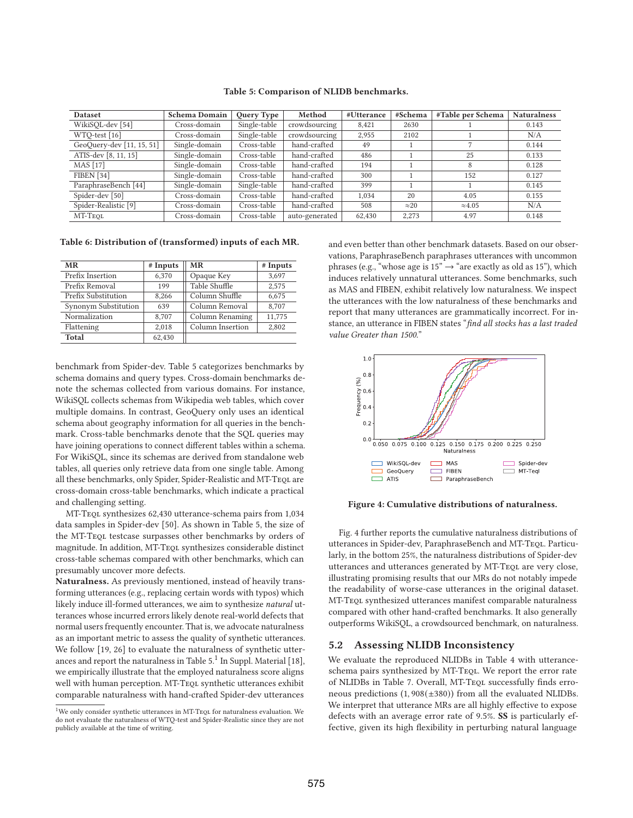| <b>Dataset</b>                  | <b>Schema Domain</b> | Query Type   | Method         | #Utterance | #Schema      | #Table per Schema | <b>Naturalness</b> |
|---------------------------------|----------------------|--------------|----------------|------------|--------------|-------------------|--------------------|
| WikiSQL-dev [54]                | Cross-domain         | Single-table | crowdsourcing  | 8,421      | 2630         |                   | 0.143              |
| WTO-test [16]                   | Cross-domain         | Single-table | crowdsourcing  | 2.955      | 2102         |                   | N/A                |
| GeoQuery-dev [11, 15, 51]       | Single-domain        | Cross-table  | hand-crafted   | 49         |              |                   | 0.144              |
| ATIS-dev [8, 11, 15]            | Single-domain        | Cross-table  | hand-crafted   | 486        |              | 25                | 0.133              |
| <b>MAS</b> [17]                 | Single-domain        | Cross-table  | hand-crafted   | 194        |              | 8                 | 0.128              |
| FIBEN <sup>[34]</sup>           | Single-domain        | Cross-table  | hand-crafted   | 300        |              | 152               | 0.127              |
| ParaphraseBench [44]            | Single-domain        | Single-table | hand-crafted   | 399        |              |                   | 0.145              |
| Spider-dev [50]                 | Cross-domain         | Cross-table  | hand-crafted   | 1.034      | 20           | 4.05              | 0.155              |
| Spider-Realistic <sup>[9]</sup> | Cross-domain         | Cross-table  | hand-crafted   | 508        | $\approx 20$ | $\approx 4.05$    | N/A                |
| MT-TEOL                         | Cross-domain         | Cross-table  | auto-generated | 62,430     | 2,273        | 4.97              | 0.148              |

#### **Table 5: Comparison of NLIDB benchmarks.**

**Table 6: Distribution of (transformed) inputs of each MR.**

| <b>MR</b>            | $#$ Inputs | <b>MR</b>        | # Inputs |
|----------------------|------------|------------------|----------|
| Prefix Insertion     | 6,370      | Opaque Key       | 3,697    |
| Prefix Removal       | 199        | Table Shuffle    | 2,575    |
| Prefix Substitution  | 8.266      | Column Shuffle   | 6,675    |
| Synonym Substitution | 639        | Column Removal   | 8,707    |
| Normalization        | 8.707      | Column Renaming  | 11,775   |
| Flattening           | 2,018      | Column Insertion | 2,802    |
| Total                | 62,430     |                  |          |

benchmark from Spider-dev. Table 5 categorizes benchmarks by schema domains and query types. Cross-domain benchmarks denote the schemas collected from various domains. For instance, WikiSQL collects schemas from Wikipedia web tables, which cover multiple domains. In contrast, GeoQuery only uses an identical schema about geography information for all queries in the benchmark. Cross-table benchmarks denote that the SQL queries may have joining operations to connect different tables within a schema. For WikiSQL, since its schemas are derived from standalone web tables, all queries only retrieve data from one single table. Among all these benchmarks, only Spider, Spider-Realistic and MT-TEQL are cross-domain cross-table benchmarks, which indicate a practical and challenging setting.

MT-Teql synthesizes 62,430 utterance-schema pairs from 1,034 data samples in Spider-dev [50]. As shown in Table 5, the size of the MT-Teql testcase surpasses other benchmarks by orders of magnitude. In addition, MT-TEQL synthesizes considerable distinct cross-table schemas compared with other benchmarks, which can presumably uncover more defects.

**Naturalness.** As previously mentioned, instead of heavily transforming utterances (e.g., replacing certain words with typos) which likely induce ill-formed utterances, we aim to synthesize natural utterances whose incurred errors likely denote real-world defects that normal users frequently encounter. That is, we advocate naturalness as an important metric to assess the quality of synthetic utterances. We follow [19, 26] to evaluate the naturalness of synthetic utterances and report the naturalness in Table  $5<sup>1</sup>$  In Suppl. Material [18], we empirically illustrate that the employed naturalness score aligns well with human perception. MT-TEQL synthetic utterances exhibit comparable naturalness with hand-crafted Spider-dev utterances

and even better than other benchmark datasets. Based on our observations, ParaphraseBench paraphrases utterances with uncommon phrases (e.g., "whose age is  $15" \rightarrow$  "are exactly as old as  $15"$ ), which induces relatively unnatural utterances. Some benchmarks, such as MAS and FIBEN, exhibit relatively low naturalness. We inspect the utterances with the low naturalness of these benchmarks and report that many utterances are grammatically incorrect. For instance, an utterance in FIBEN states "find all stocks has a last traded value Greater than 1500."



**Figure 4: Cumulative distributions of naturalness.**

Fig. 4 further reports the cumulative naturalness distributions of utterances in Spider-dev, ParaphraseBench and MT-TEQL. Particularly, in the bottom 25%, the naturalness distributions of Spider-dev utterances and utterances generated by MT-TEQL are very close, illustrating promising results that our MRs do not notably impede the readability of worse-case utterances in the original dataset. MT-Teql synthesized utterances manifest comparable naturalness compared with other hand-crafted benchmarks. It also generally outperforms WikiSQL, a crowdsourced benchmark, on naturalness.

## **5.2 Assessing NLIDB Inconsistency**

We evaluate the reproduced NLIDBs in Table 4 with utteranceschema pairs synthesized by MT-Teql. We report the error rate of NLIDBs in Table 7. Overall, MT-TEQL successfully finds erroneous predictions (1, 908(±380)) from all the evaluated NLIDBs. We interpret that utterance MRs are all highly effective to expose defects with an average error rate of 9.5%. **SS** is particularly effective, given its high flexibility in perturbing natural language

 $1$ We only consider synthetic utterances in MT-TEQL for naturalness evaluation. We do not evaluate the naturalness of WTQ-test and Spider-Realistic since they are not publicly available at the time of writing.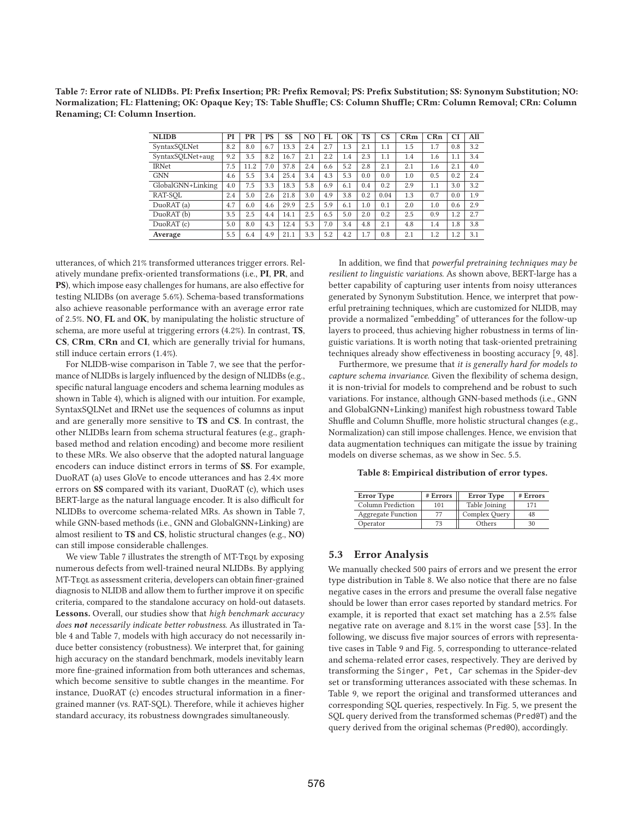**Table 7: Error rate of NLIDBs. PI: Prefix Insertion; PR: Prefix Removal; PS: Prefix Substitution; SS: Synonym Substitution; NO: Normalization; FL: Flattening; OK: Opaque Key; TS: Table Shuffle; CS: Column Shuffle; CRm: Column Removal; CRn: Column Renaming; CI: Column Insertion.**

| <b>NLIDB</b>      | PI  | PR   | PS  | SS   | N <sub>0</sub> | FI. | OK  | <b>TS</b> | $\mathbf{C}\mathbf{S}$ | CRm | CRn | CI  | All |
|-------------------|-----|------|-----|------|----------------|-----|-----|-----------|------------------------|-----|-----|-----|-----|
| SyntaxSQLNet      | 8.2 | 8.0  | 6.7 | 13.3 | 2.4            | 2.7 | 1.3 | 2.1       | 1.1                    | 1.5 | 1.7 | 0.8 | 3.2 |
| SyntaxSQLNet+aug  | 9.2 | 3.5  | 8.2 | 16.7 | 2.1            | 2.2 | 1.4 | 2.3       | 1.1                    | 1.4 | 1.6 | 1.1 | 3.4 |
| <b>IRNet</b>      | 7.5 | 11.2 | 7.0 | 37.8 | 2.4            | 6.6 | 5.2 | 2.8       | 2.1                    | 2.1 | 1.6 | 2.1 | 4.0 |
| <b>GNN</b>        | 4.6 | 5.5  | 3.4 | 25.4 | 3.4            | 4.3 | 5.3 | 0.0       | 0.0                    | 1.0 | 0.5 | 0.2 | 2.4 |
| GlobalGNN+Linking | 4.0 | 7.5  | 3.3 | 18.3 | 5.8            | 6.9 | 6.1 | 0.4       | 0.2                    | 2.9 | 1.1 | 3.0 | 3.2 |
| RAT-SOL           | 2.4 | 5.0  | 2.6 | 21.8 | 3.0            | 4.9 | 3.8 | 0.2       | 0.04                   | 1.3 | 0.7 | 0.0 | 1.9 |
| DuoRAT (a)        | 4.7 | 6.0  | 4.6 | 29.9 | 2.5            | 5.9 | 6.1 | 1.0       | 0.1                    | 2.0 | 1.0 | 0.6 | 2.9 |
| DuoRAT(b)         | 3.5 | 2.5  | 4.4 | 14.1 | 2.5            | 6.5 | 5.0 | 2.0       | 0.2                    | 2.5 | 0.9 | 1.2 | 2.7 |
| DuoRAT (c)        | 5.0 | 8.0  | 4.3 | 12.4 | 5.3            | 7.0 | 3.4 | 4.8       | 2.1                    | 4.8 | 1.4 | 1.8 | 3.8 |
| Average           | 5.5 | 6.4  | 4.9 | 21.1 | 3.3            | 5.2 | 4.2 | 1.7       | 0.8                    | 2.1 | 1.2 | 1.2 | 3.1 |

utterances, of which 21% transformed utterances trigger errors. Relatively mundane prefix-oriented transformations (i.e., **PI**, **PR**, and **PS**), which impose easy challenges for humans, are also effective for testing NLIDBs (on average 5.6%). Schema-based transformations also achieve reasonable performance with an average error rate of 2.5%. **NO**, **FL** and **OK**, by manipulating the holistic structure of schema, are more useful at triggering errors (4.2%). In contrast, **TS**, **CS**, **CRm**, **CRn** and **CI**, which are generally trivial for humans, still induce certain errors (1.4%).

For NLIDB-wise comparison in Table 7, we see that the performance of NLIDBs is largely influenced by the design of NLIDBs (e.g., specific natural language encoders and schema learning modules as shown in Table 4), which is aligned with our intuition. For example, SyntaxSQLNet and IRNet use the sequences of columns as input and are generally more sensitive to **TS** and **CS**. In contrast, the other NLIDBs learn from schema structural features (e.g., graphbased method and relation encoding) and become more resilient to these MRs. We also observe that the adopted natural language encoders can induce distinct errors in terms of **SS**. For example, DuoRAT (a) uses GloVe to encode utterances and has 2.4× more errors on **SS** compared with its variant, DuoRAT (c), which uses BERT-large as the natural language encoder. It is also difficult for NLIDBs to overcome schema-related MRs. As shown in Table 7, while GNN-based methods (i.e., GNN and GlobalGNN+Linking) are almost resilient to **TS** and **CS**, holistic structural changes (e.g., **NO**) can still impose considerable challenges.

We view Table 7 illustrates the strength of MT-TEQL by exposing numerous defects from well-trained neural NLIDBs. By applying MT-Teql as assessment criteria, developers can obtain finer-grained diagnosis to NLIDB and allow them to further improve it on specific criteria, compared to the standalone accuracy on hold-out datasets. **Lessons.** Overall, our studies show that high benchmark accuracy does *not* necessarily indicate better robustness. As illustrated in Table 4 and Table 7, models with high accuracy do not necessarily induce better consistency (robustness). We interpret that, for gaining high accuracy on the standard benchmark, models inevitably learn more fine-grained information from both utterances and schemas, which become sensitive to subtle changes in the meantime. For instance, DuoRAT (c) encodes structural information in a finergrained manner (vs. RAT-SQL). Therefore, while it achieves higher standard accuracy, its robustness downgrades simultaneously.

In addition, we find that powerful pretraining techniques may be resilient to linguistic variations. As shown above, BERT-large has a better capability of capturing user intents from noisy utterances generated by Synonym Substitution. Hence, we interpret that powerful pretraining techniques, which are customized for NLIDB, may provide a normalized "embedding" of utterances for the follow-up layers to proceed, thus achieving higher robustness in terms of linguistic variations. It is worth noting that task-oriented pretraining techniques already show effectiveness in boosting accuracy [9, 48].

Furthermore, we presume that it is generally hard for models to capture schema invariance. Given the flexibility of schema design, it is non-trivial for models to comprehend and be robust to such variations. For instance, although GNN-based methods (i.e., GNN and GlobalGNN+Linking) manifest high robustness toward Table Shuffle and Column Shuffle, more holistic structural changes (e.g., Normalization) can still impose challenges. Hence, we envision that data augmentation techniques can mitigate the issue by training models on diverse schemas, as we show in Sec. 5.5.

**Table 8: Empirical distribution of error types.**

| <b>Error Type</b>  | # Errors | <b>Error</b> Type | # Errors |
|--------------------|----------|-------------------|----------|
| Column Prediction  | 101      | Table Joining     | 171      |
| Aggregate Function | 77       | Complex Query     | 48       |
| Operator           |          | Others            | 30       |

# **5.3 Error Analysis**

We manually checked 500 pairs of errors and we present the error type distribution in Table 8. We also notice that there are no false negative cases in the errors and presume the overall false negative should be lower than error cases reported by standard metrics. For example, it is reported that exact set matching has a 2.5% false negative rate on average and 8.1% in the worst case [53]. In the following, we discuss five major sources of errors with representative cases in Table 9 and Fig. 5, corresponding to utterance-related and schema-related error cases, respectively. They are derived by transforming the Singer, Pet, Car schemas in the Spider-dev set or transforming utterances associated with these schemas. In Table 9, we report the original and transformed utterances and corresponding SQL queries, respectively. In Fig. 5, we present the SQL query derived from the transformed schemas (Pred@T) and the query derived from the original schemas (Pred@O), accordingly.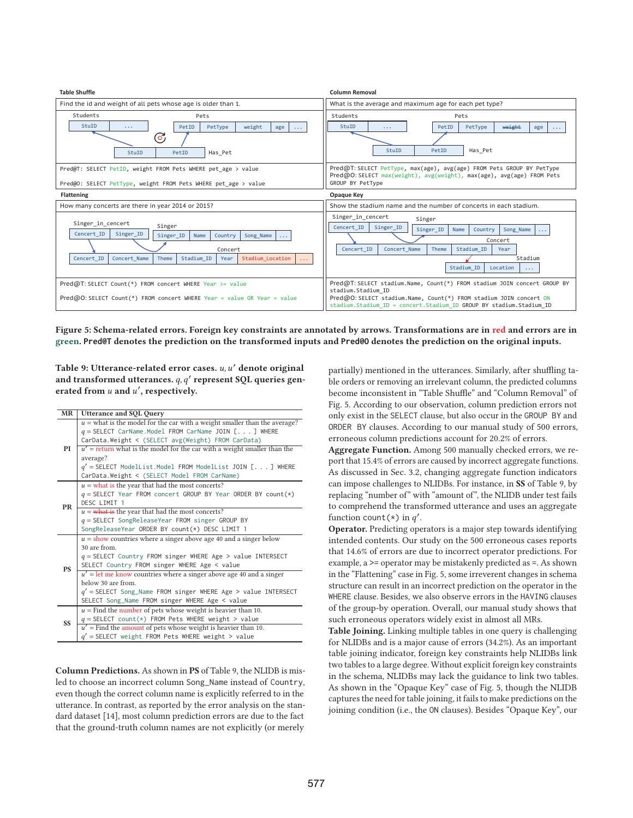

**Figure 5: Schema-related errors. Foreign key constraints are annotated by arrows. Transformations are in red and errors are in green. Pred@T denotes the prediction on the transformed inputs and Pred@O denotes the prediction on the original inputs.**

Table 9: Utterance-related error cases. u, u' denote original and transformed utterances. q, q' represent SQL queries generated from u and u', respectively.

| MR        | <b>Utterance and SQL Query</b>                                                                                                                                                                                                                                                                                                                                                                                        |
|-----------|-----------------------------------------------------------------------------------------------------------------------------------------------------------------------------------------------------------------------------------------------------------------------------------------------------------------------------------------------------------------------------------------------------------------------|
| PI        | $u =$ what is the model for the car with a weight smaller than the average?<br>$q =$ SELECT CarName. Model FROM CarName JOIN [] WHERE<br>CarData.Weight < (SELECT avg(Weight) FROM CarData)<br>$u'$ = return what is the model for the car with a weight smaller than the<br>average?<br>$q'$ = SELECT ModelList. Model FROM ModelList JOIN [] WHERE<br>CarData.Weight < (SELECT Model FROM CarName)                  |
| <b>PR</b> | $u =$ what is the year that had the most concerts?<br>$q =$ SELECT Year FROM concert GROUP BY Year ORDER BY count(*)<br>DESC LIMIT 1<br>$u = \frac{w}{\text{that}}$ is the year that had the most concerts?<br>$q =$ SELECT SongReleaseYear FROM singer GROUP BY<br>SongReleaseYear ORDER BY count(*) DESC LIMIT 1                                                                                                    |
| <b>PS</b> | $u =$ show countries where a singer above age 40 and a singer below<br>30 are from<br>$q =$ SELECT Country FROM singer WHERE Age > value INTERSECT<br>SELECT Country FROM singer WHERE Age < value<br>$u'$ = let me know countries where a singer above age 40 and a singer<br>below 30 are from<br>$q'$ = SELECT Song_Name FROM singer WHERE Age > value INTERSECT<br>SELECT Song_Name FROM singer WHERE Age < value |
| <b>SS</b> | $u =$ Find the number of pets whose weight is heavier than 10.<br>$q =$ SELECT count(*) FROM Pets WHERE weight > value<br>$u'$ = Find the amount of pets whose weight is heavier than 10.<br>$q'$ = SELECT weight FROM Pets WHERE weight > value                                                                                                                                                                      |

**Column Predictions.** As shown in **PS** of Table 9, the NLIDB is misled to choose an incorrect column Song\_Name instead of Country, even though the correct column name is explicitly referred to in the utterance. In contrast, as reported by the error analysis on the standard dataset [14], most column prediction errors are due to the fact that the ground-truth column names are not explicitly (or merely

partially) mentioned in the utterances. Similarly, after shuffling table orders or removing an irrelevant column, the predicted columns become inconsistent in "Table Shuffle" and "Column Removal" of Fig. 5. According to our observation, column prediction errors not only exist in the SELECT clause, but also occur in the GROUP BY and ORDER BY clauses. According to our manual study of 500 errors, erroneous column predictions account for 20.2% of errors.

**Aggregate Function.** Among 500 manually checked errors, we report that 15.4% of errors are caused by incorrect aggregate functions. As discussed in Sec. 3.2, changing aggregate function indicators can impose challenges to NLIDBs. For instance, in **SS** of Table 9, by replacing "number of" with "amount of", the NLIDB under test fails to comprehend the transformed utterance and uses an aggregate function count  $(*)$  in  $q'$ .

**Operator.** Predicting operators is a major step towards identifying intended contents. Our study on the 500 erroneous cases reports that 14.6% of errors are due to incorrect operator predictions. For example, a >= operator may be mistakenly predicted as =. As shown in the "Flattening" case in Fig. 5, some irreverent changes in schema structure can result in an incorrect prediction on the operator in the WHERE clause. Besides, we also observe errors in the HAVING clauses of the group-by operation. Overall, our manual study shows that such erroneous operators widely exist in almost all MRs.

**Table Joining.** Linking multiple tables in one query is challenging for NLIDBs and is a major cause of errors (34.2%). As an important table joining indicator, foreign key constraints help NLIDBs link two tables to a large degree. Without explicit foreign key constraints in the schema, NLIDBs may lack the guidance to link two tables. As shown in the "Opaque Key" case of Fig. 5, though the NLIDB captures the need for table joining, it fails to make predictions on the joining condition (i.e., the ON clauses). Besides "Opaque Key", our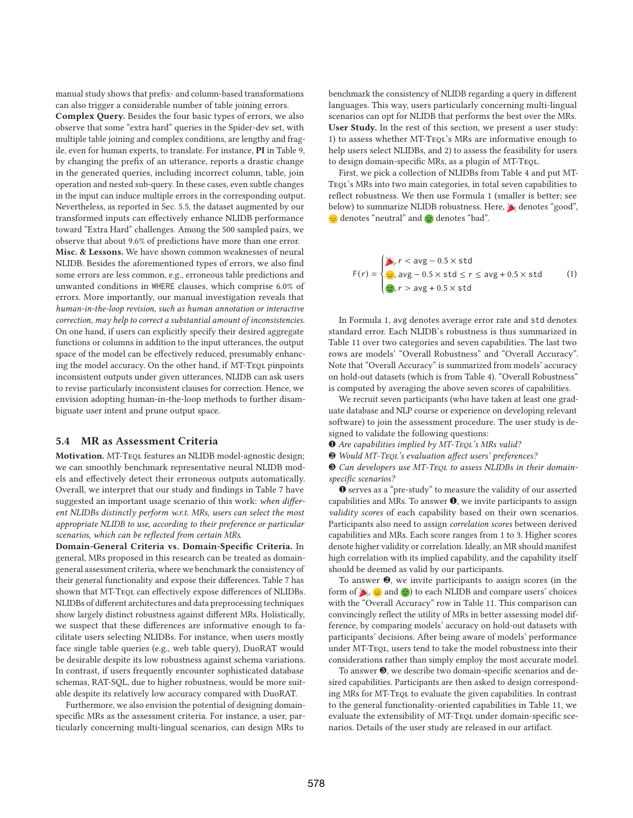manual study shows that prefix- and column-based transformations can also trigger a considerable number of table joining errors.

**Complex Query.** Besides the four basic types of errors, we also observe that some "extra hard" queries in the Spider-dev set, with multiple table joining and complex conditions, are lengthy and fragile, even for human experts, to translate. For instance, **PI** in Table 9, by changing the prefix of an utterance, reports a drastic change in the generated queries, including incorrect column, table, join operation and nested sub-query. In these cases, even subtle changes in the input can induce multiple errors in the corresponding output. Nevertheless, as reported in Sec. 5.5, the dataset augmented by our transformed inputs can effectively enhance NLIDB performance toward "Extra Hard" challenges. Among the 500 sampled pairs, we observe that about 9.6% of predictions have more than one error. **Misc. & Lessons.** We have shown common weaknesses of neural NLIDB. Besides the aforementioned types of errors, we also find some errors are less common, e.g., erroneous table predictions and unwanted conditions in WHERE clauses, which comprise 6.0% of errors. More importantly, our manual investigation reveals that human-in-the-loop revision, such as human annotation or interactive correction, may help to correct a substantial amount of inconsistencies. On one hand, if users can explicitly specify their desired aggregate functions or columns in addition to the input utterances, the output space of the model can be effectively reduced, presumably enhancing the model accuracy. On the other hand, if MT-Teol pinpoints inconsistent outputs under given utterances, NLIDB can ask users to revise particularly inconsistent clauses for correction. Hence, we envision adopting human-in-the-loop methods to further disambiguate user intent and prune output space.

## **5.4 MR as Assessment Criteria**

**Motivation.** MT-Teql features an NLIDB model-agnostic design; we can smoothly benchmark representative neural NLIDB models and effectively detect their erroneous outputs automatically. Overall, we interpret that our study and findings in Table 7 have suggested an important usage scenario of this work: when different NLIDBs distinctly perform w.r.t. MRs, users can select the most appropriate NLIDB to use, according to their preference or particular scenarios, which can be reflected from certain MRs.

**Domain-General Criteria vs. Domain-Specific Criteria.** In general, MRs proposed in this research can be treated as domaingeneral assessment criteria, where we benchmark the consistency of their general functionality and expose their differences. Table 7 has shown that MT-TEQL can effectively expose differences of NLIDBs. NLIDBs of different architectures and data preprocessing techniques show largely distinct robustness against different MRs. Holistically, we suspect that these differences are informative enough to facilitate users selecting NLIDBs. For instance, when users mostly face single table queries (e.g., web table query), DuoRAT would be desirable despite its low robustness against schema variations. In contrast, if users frequently encounter sophisticated database schemas, RAT-SQL, due to higher robustness, would be more suitable despite its relatively low accuracy compared with DuoRAT.

Furthermore, we also envision the potential of designing domainspecific MRs as the assessment criteria. For instance, a user, particularly concerning multi-lingual scenarios, can design MRs to

benchmark the consistency of NLIDB regarding a query in different languages. This way, users particularly concerning multi-lingual scenarios can opt for NLIDB that performs the best over the MRs. **User Study.** In the rest of this section, we present a user study: 1) to assess whether MT-TEQL's MRs are informative enough to help users select NLIDBs, and 2) to assess the feasibility for users to design domain-specific MRs, as a plugin of MT-Teql.

First, we pick a collection of NLIDBs from Table 4 and put MT-Teql's MRs into two main categories, in total seven capabilities to reflect robustness. We then use Formula 1 (smaller is better; see below) to summarize NLIDB robustness. Here,  $\mathcal{E}$  denotes "good",  $\triangleq$  denotes "neutral" and  $\otimes$  denotes "bad".

$$
F(r) = \begin{cases} \frac{1}{\sqrt{2}}, & r < \text{avg} - 0.5 \times \text{std} \\ \frac{1}{\sqrt{2}}, & \text{avg} - 0.5 \times \text{std} \le r \le \text{avg} + 0.5 \times \text{std} \\ \frac{1}{\sqrt{2}}, & r > \text{avg} + 0.5 \times \text{std} \end{cases} \tag{1}
$$

In Formula 1, avg denotes average error rate and std denotes standard error. Each NLIDB's robustness is thus summarized in Table 11 over two categories and seven capabilities. The last two rows are models' "Overall Robustness" and "Overall Accuracy". Note that "Overall Accuracy" is summarized from models' accuracy on hold-out datasets (which is from Table 4). "Overall Robustness" is computed by averaging the above seven scores of capabilities.

We recruit seven participants (who have taken at least one graduate database and NLP course or experience on developing relevant software) to join the assessment procedure. The user study is designed to validate the following questions:

- $\bullet$  Are capabilities implied by MT-TEQL's MRs valid?
- ❷ Would MT-Teql's evaluation affect users' preferences?

❸ Can developers use MT-Teql to assess NLIDBs in their domainspecific scenarios?

❶ serves as a "pre-study" to measure the validity of our asserted capabilities and MRs. To answer  $\bullet$ , we invite participants to assign validity scores of each capability based on their own scenarios. Participants also need to assign correlation scores between derived capabilities and MRs. Each score ranges from 1 to 3. Higher scores denote higher validity or correlation. Ideally, an MR should manifest high correlation with its implied capability, and the capability itself should be deemed as valid by our participants.

To answer ❷, we invite participants to assign scores (in the form of  $\blacktriangleright$ ,  $\blacktriangleright$  and  $\blacktriangleright$  to each NLIDB and compare users' choices with the "Overall Accuracy" row in Table 11. This comparison can convincingly reflect the utility of MRs in better assessing model difference, by comparing models' accuracy on hold-out datasets with participants' decisions. After being aware of models' performance under MT-Teql, users tend to take the model robustness into their considerations rather than simply employ the most accurate model.

To answer  $\Theta$ , we describe two domain-specific scenarios and desired capabilities. Participants are then asked to design corresponding MRs for MT-Teql to evaluate the given capabilities. In contrast to the general functionality-oriented capabilities in Table 11, we evaluate the extensibility of MT-TEQL under domain-specific scenarios. Details of the user study are released in our artifact.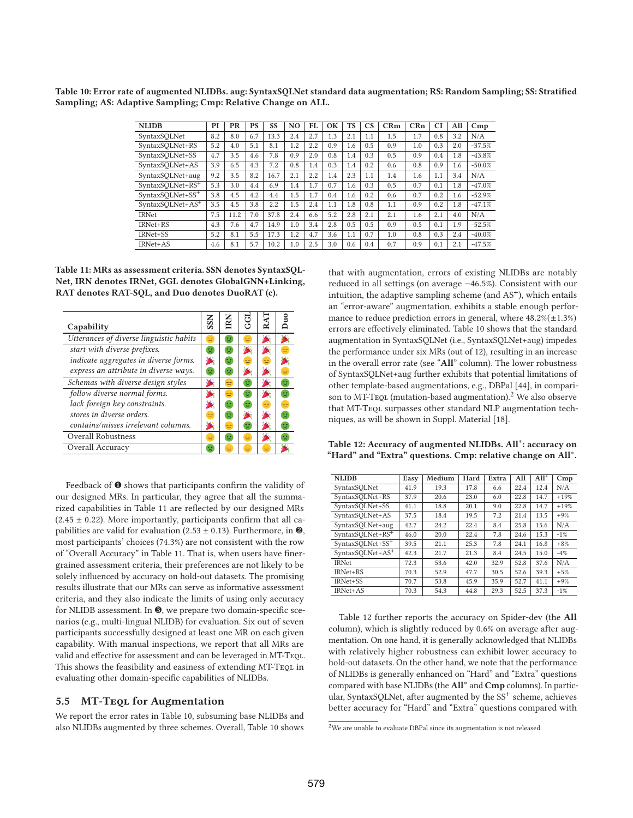**Table 10: Error rate of augmented NLIDBs. aug: SyntaxSQLNet standard data augmentation; RS: Random Sampling; SS: Stratified Sampling; AS: Adaptive Sampling; Cmp: Relative Change on ALL.**

| <b>NLIDB</b>                 | PI  | PR   | <b>PS</b> | SS   | N <sub>O</sub> | FL  | OK  | <b>TS</b> | $\mathbf{C}\mathbf{S}$ | CRm | CRn | CI  | All | Cmp      |
|------------------------------|-----|------|-----------|------|----------------|-----|-----|-----------|------------------------|-----|-----|-----|-----|----------|
| SyntaxSQLNet                 | 8.2 | 8.0  | 6.7       | 13.3 | 2.4            | 2.7 | 1.3 | 2.1       | 1.1                    | 1.5 | 1.7 | 0.8 | 3.2 | N/A      |
| SyntaxSOLNet+RS              | 5.2 | 4.0  | 5.1       | 8.1  | 1.2            | 2.2 | 0.9 | 1.6       | 0.5                    | 0.9 | 1.0 | 0.3 | 2.0 | $-37.5%$ |
| SyntaxSQLNet+SS              | 4.7 | 3.5  | 4.6       | 7.8  | 0.9            | 2.0 | 0.8 | 1.4       | 0.3                    | 0.5 | 0.9 | 0.4 | 1.8 | $-43.8%$ |
| SyntaxSOLNet+AS              | 3.9 | 6.5  | 4.3       | 7.2  | 0.8            | 1.4 | 0.3 | 1.4       | 0.2                    | 0.6 | 0.8 | 0.9 | 1.6 | $-50.0%$ |
| SyntaxSQLNet+aug             | 9.2 | 3.5  | 8.2       | 16.7 | 2.1            | 2.2 | 1.4 | 2.3       | 1.1                    | 1.4 | 1.6 | 1.1 | 3.4 | N/A      |
| SyntaxSOLNet+RS <sup>+</sup> | 5.3 | 3.0  | 4.4       | 6.9  | 1.4            | 1.7 | 0.7 | 1.6       | 0.3                    | 0.5 | 0.7 | 0.1 | 1.8 | $-47.0%$ |
| SyntaxSOLNet+SS <sup>+</sup> | 3.8 | 4.5  | 4.2       | 4.4  | 1.5            | 1.7 | 0.4 | 1.6       | 0.2                    | 0.6 | 0.7 | 0.2 | 1.6 | $-52.9%$ |
| SyntaxSOLNet+AS <sup>+</sup> | 3.5 | 4.5  | 3.8       | 2.2  | 1.5            | 2.4 | 1.1 | 1.8       | 0.8                    | 1.1 | 0.9 | 0.2 | 1.8 | $-47.1%$ |
| <b>IRNet</b>                 | 7.5 | 11.2 | 7.0       | 37.8 | 2.4            | 6.6 | 5.2 | 2.8       | 2.1                    | 2.1 | 1.6 | 2.1 | 4.0 | N/A      |
| IRNet+RS                     | 4.3 | 7.6  | 4.7       | 14.9 | 1.0            | 3.4 | 2.8 | 0.5       | 0.5                    | 0.9 | 0.5 | 0.1 | 1.9 | $-52.5%$ |
| IRNet+SS                     | 5.2 | 8.1  | 5.5       | 17.3 | 1.2            | 4.7 | 3.6 | 1.1       | 0.7                    | 1.0 | 0.8 | 0.3 | 2.4 | $-40.0%$ |
| IRNet+AS                     | 4.6 | 8.1  | 5.7       | 10.2 | 1.0            | 2.5 | 3.0 | 0.6       | 0.4                    | 0.7 | 0.9 | 0.1 | 2.1 | $-47.5%$ |

**Table 11: MRs as assessment criteria. SSN denotes SyntaxSQL-Net, IRN denotes IRNet, GGL denotes GlobalGNN+Linking, RAT denotes RAT-SQL, and Duo denotes DuoRAT (c).**



Feedback of ❶ shows that participants confirm the validity of our designed MRs. In particular, they agree that all the summarized capabilities in Table 11 are reflected by our designed MRs  $(2.45 \pm 0.22)$ . More importantly, participants confirm that all capabilities are valid for evaluation (2.53  $\pm$  0.13). Furthermore, in  $\bullet$ , most participants' choices (74.3%) are not consistent with the row of "Overall Accuracy" in Table 11. That is, when users have finergrained assessment criteria, their preferences are not likely to be solely influenced by accuracy on hold-out datasets. The promising results illustrate that our MRs can serve as informative assessment criteria, and they also indicate the limits of using only accuracy for NLIDB assessment. In  $\Theta$ , we prepare two domain-specific scenarios (e.g., multi-lingual NLIDB) for evaluation. Six out of seven participants successfully designed at least one MR on each given capability. With manual inspections, we report that all MRs are valid and effective for assessment and can be leveraged in MT-Teql. This shows the feasibility and easiness of extending MT-TEQL in evaluating other domain-specific capabilities of NLIDBs.

# **5.5 MT-Teql for Augmentation**

We report the error rates in Table 10, subsuming base NLIDBs and also NLIDBs augmented by three schemes. Overall, Table 10 shows

that with augmentation, errors of existing NLIDBs are notably reduced in all settings (on average −46.5%). Consistent with our intuition, the adaptive sampling scheme (and AS<sup>+</sup>), which entails an "error-aware" augmentation, exhibits a stable enough performance to reduce prediction errors in general, where  $48.2\%(\pm 1.3\%)$ errors are effectively eliminated. Table 10 shows that the standard augmentation in SyntaxSQLNet (i.e., SyntaxSQLNet+aug) impedes the performance under six MRs (out of 12), resulting in an increase in the overall error rate (see "**All**" column). The lower robustness of SyntaxSQLNet+aug further exhibits that potential limitations of other template-based augmentations, e.g., DBPal [44], in comparison to MT-TeQL (mutation-based augmentation).<sup>2</sup> We also observe that MT-Teql surpasses other standard NLP augmentation techniques, as will be shown in Suppl. Material [18].

**Table 12: Accuracy of augmented NLIDBs. All**∗**: accuracy on "Hard" and "Extra" questions. Cmp: relative change on All**∗**.**

| <b>NLIDB</b>                 | Easy | Medium | Hard | Extra | All  | $All*$ | Cmp    |
|------------------------------|------|--------|------|-------|------|--------|--------|
| SyntaxSOLNet                 | 41.9 | 19.3   | 17.8 | 6.6   | 22.4 | 12.4   | N/A    |
| SyntaxSQLNet+RS              | 37.9 | 20.6   | 23.0 | 6.0   | 22.8 | 14.7   | $+19%$ |
| SyntaxSOLNet+SS              | 41.1 | 18.8   | 20.1 | 9.0   | 22.8 | 14.7   | $+19%$ |
| SyntaxSQLNet+AS              | 37.5 | 18.4   | 19.5 | 7.2   | 21.4 | 13.5   | $+9%$  |
| SyntaxSQLNet+aug             | 42.7 | 24.2   | 22.4 | 8.4   | 25.8 | 15.6   | N/A    |
| SyntaxSOLNet+RS <sup>+</sup> | 46.0 | 20.0   | 22.4 | 7.8   | 24.6 | 15.3   | $-1%$  |
| SyntaxSOLNet+SS <sup>+</sup> | 39.5 | 21.1   | 25.3 | 7.8   | 24.1 | 16.8   | $+8%$  |
| SyntaxSOLNet+AS <sup>+</sup> | 42.3 | 21.7   | 21.3 | 8.4   | 24.5 | 15.0   | $-4%$  |
| <b>IRNet</b>                 | 72.3 | 53.6   | 42.0 | 32.9  | 52.8 | 37.6   | N/A    |
| IRNet+RS                     | 70.3 | 52.9   | 47.7 | 30.5  | 52.6 | 39.3   | $+5%$  |
| IRNet+SS                     | 70.7 | 53.8   | 45.9 | 35.9  | 52.7 | 41.1   | $+9%$  |
| IRNet+AS                     | 70.3 | 54.3   | 44.8 | 29.3  | 52.5 | 37.3   | $-1%$  |

Table 12 further reports the accuracy on Spider-dev (the **All** column), which is slightly reduced by 0.6% on average after augmentation. On one hand, it is generally acknowledged that NLIDBs with relatively higher robustness can exhibit lower accuracy to hold-out datasets. On the other hand, we note that the performance of NLIDBs is generally enhanced on "Hard" and "Extra" questions compared with base NLIDBs (the **All**<sup>∗</sup> and **Cmp** columns). In particular, SyntaxSQLNet, after augmented by the SS<sup>+</sup> scheme, achieves better accuracy for "Hard" and "Extra" questions compared with

<sup>2</sup>We are unable to evaluate DBPal since its augmentation is not released.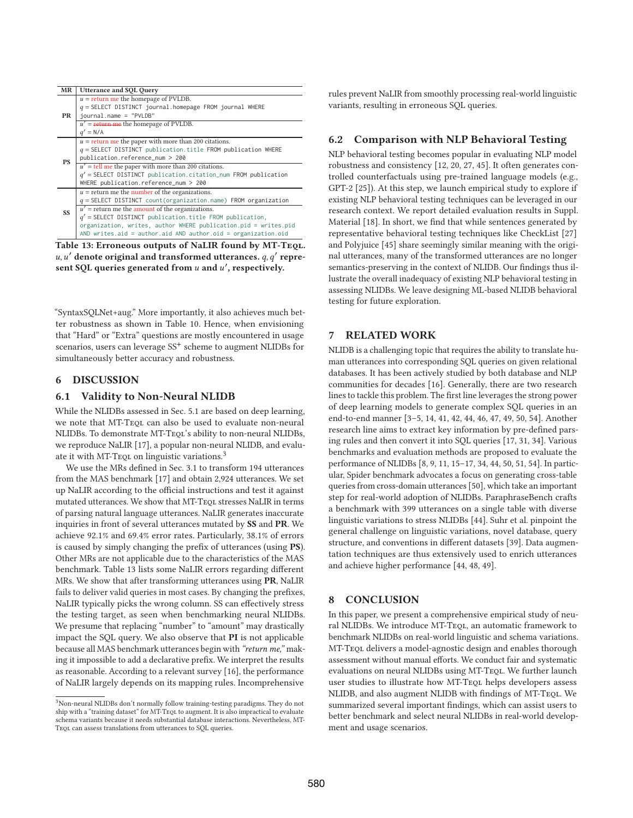| <b>MR</b> | <b>Utterance and SQL Query</b>                                                                                                                                                                                                                                                                                                                                                        |
|-----------|---------------------------------------------------------------------------------------------------------------------------------------------------------------------------------------------------------------------------------------------------------------------------------------------------------------------------------------------------------------------------------------|
| PR        | $u =$ return me the homepage of PVLDB.<br>$q =$ SELECT DISTINCT journal.homepage FROM journal WHERE<br>journal.name = "PVLDB"<br>$u' =$ return me the homepage of PVLDB.<br>$q' = N/A$                                                                                                                                                                                                |
| <b>PS</b> | $u =$ return me the paper with more than 200 citations.<br>$q =$ SELECT DISTINCT publication.title FROM publication WHERE<br>publication.reference_num > 200<br>$u'$ = tell me the paper with more than 200 citations.<br>$q'$ = SELECT DISTINCT publication.citation_num FROM publication<br>WHERE publication.reference_num > 200                                                   |
| <b>SS</b> | $u =$ return me the number of the organizations.<br>$q =$ SELECT DISTINCT count(organization.name) FROM organization<br>$u'$ = return me the amount of the organizations.<br>$q'$ = SELECT DISTINCT publication. title FROM publication,<br>organization, writes, author WHERE publication.pid = writes.pid<br>AND writes.aid = $author$ .aid AND $author$ .oid = $organic$ .org $id$ |

**Table 13: Erroneous outputs of NaLIR found by MT-Teql.**  $u, u'$  denote original and transformed utterances.  $q, q'$  represent SQL queries generated from u and u', respectively.

"SyntaxSQLNet+aug." More importantly, it also achieves much better robustness as shown in Table 10. Hence, when envisioning that "Hard" or "Extra" questions are mostly encountered in usage scenarios, users can leverage SS<sup>+</sup> scheme to augment NLIDBs for simultaneously better accuracy and robustness.

# **6 DISCUSSION**

## **6.1 Validity to Non-Neural NLIDB**

While the NLIDBs assessed in Sec. 5.1 are based on deep learning, we note that MT-Teql can also be used to evaluate non-neural NLIDBs. To demonstrate MT-TEQL's ability to non-neural NLIDBs, we reproduce NaLIR [17], a popular non-neural NLIDB, and evaluate it with MT-Tequ on linguistic variations.<sup>3</sup>

We use the MRs defined in Sec. 3.1 to transform 194 utterances from the MAS benchmark [17] and obtain 2,924 utterances. We set up NaLIR according to the official instructions and test it against mutated utterances. We show that MT-TEOL stresses NaLIR in terms of parsing natural language utterances. NaLIR generates inaccurate inquiries in front of several utterances mutated by **SS** and **PR**. We achieve 92.1% and 69.4% error rates. Particularly, 38.1% of errors is caused by simply changing the prefix of utterances (using **PS**). Other MRs are not applicable due to the characteristics of the MAS benchmark. Table 13 lists some NaLIR errors regarding different MRs. We show that after transforming utterances using **PR**, NaLIR fails to deliver valid queries in most cases. By changing the prefixes, NaLIR typically picks the wrong column. SS can effectively stress the testing target, as seen when benchmarking neural NLIDBs. We presume that replacing "number" to "amount" may drastically impact the SQL query. We also observe that **PI** is not applicable because all MAS benchmark utterances begin with "return me," making it impossible to add a declarative prefix. We interpret the results as reasonable. According to a relevant survey [16], the performance of NaLIR largely depends on its mapping rules. Incomprehensive

rules prevent NaLIR from smoothly processing real-world linguistic variants, resulting in erroneous SQL queries.

## **6.2 Comparison with NLP Behavioral Testing**

NLP behavioral testing becomes popular in evaluating NLP model robustness and consistency [12, 20, 27, 45]. It often generates controlled counterfactuals using pre-trained language models (e.g., GPT-2 [25]). At this step, we launch empirical study to explore if existing NLP behavioral testing techniques can be leveraged in our research context. We report detailed evaluation results in Suppl. Material [18]. In short, we find that while sentences generated by representative behavioral testing techniques like CheckList [27] and Polyjuice [45] share seemingly similar meaning with the original utterances, many of the transformed utterances are no longer semantics-preserving in the context of NLIDB. Our findings thus illustrate the overall inadequacy of existing NLP behavioral testing in assessing NLIDBs. We leave designing ML-based NLIDB behavioral testing for future exploration.

# **7 RELATED WORK**

NLIDB is a challenging topic that requires the ability to translate human utterances into corresponding SQL queries on given relational databases. It has been actively studied by both database and NLP communities for decades [16]. Generally, there are two research lines to tackle this problem. The first line leverages the strong power of deep learning models to generate complex SQL queries in an end-to-end manner [3–5, 14, 41, 42, 44, 46, 47, 49, 50, 54]. Another research line aims to extract key information by pre-defined parsing rules and then convert it into SQL queries [17, 31, 34]. Various benchmarks and evaluation methods are proposed to evaluate the performance of NLIDBs [8, 9, 11, 15–17, 34, 44, 50, 51, 54]. In particular, Spider benchmark advocates a focus on generating cross-table queries from cross-domain utterances [50], which take an important step for real-world adoption of NLIDBs. ParaphraseBench crafts a benchmark with 399 utterances on a single table with diverse linguistic variations to stress NLIDBs [44]. Suhr et al. pinpoint the general challenge on linguistic variations, novel database, query structure, and conventions in different datasets [39]. Data augmentation techniques are thus extensively used to enrich utterances and achieve higher performance [44, 48, 49].

## **8 CONCLUSION**

In this paper, we present a comprehensive empirical study of neural NLIDBs. We introduce MT-TEQL, an automatic framework to benchmark NLIDBs on real-world linguistic and schema variations. MT-Teql delivers a model-agnostic design and enables thorough assessment without manual efforts. We conduct fair and systematic evaluations on neural NLIDBs using MT-TEQL. We further launch user studies to illustrate how MT-TEQL helps developers assess NLIDB, and also augment NLIDB with findings of MT-Teql. We summarized several important findings, which can assist users to better benchmark and select neural NLIDBs in real-world development and usage scenarios.

<sup>&</sup>lt;sup>3</sup>Non-neural NLIDBs don't normally follow training-testing paradigms. They do not ship with a "training dataset" for MT-TEQL to augment. It is also impractical to evaluate schema variants because it needs substantial database interactions. Nevertheless, MT-Teql can assess translations from utterances to SQL queries.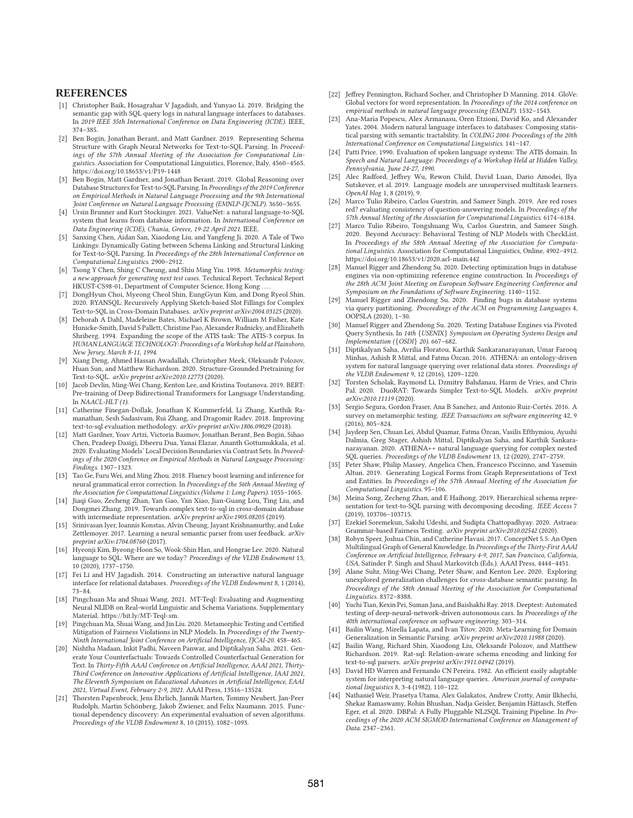## **REFERENCES**

- [1] Christopher Baik, Hosagrahar V Jagadish, and Yunyao Li. 2019. Bridging the semantic gap with SQL query logs in natural language interfaces to databases. In 2019 IEEE 35th International Conference on Data Engineering (ICDE). IEEE, 374–385.
- [2] Ben Bogin, Jonathan Berant, and Matt Gardner. 2019. Representing Schema Structure with Graph Neural Networks for Text-to-SQL Parsing. In Proceedings of the 57th Annual Meeting of the Association for Computational Linguistics. Association for Computational Linguistics, Florence, Italy, 4560–4565. https://doi.org/10.18653/v1/P19-1448
- [3] Ben Bogin, Matt Gardner, and Jonathan Berant. 2019. Global Reasoning over Database Structures for Text-to-SQL Parsing. In Proceedings of the 2019 Conference on Empirical Methods in Natural Language Processing and the 9th International Joint Conference on Natural Language Processing (EMNLP-IJCNLP). 3650–3655.
- [4] Ursin Brunner and Kurt Stockinger. 2021. ValueNet: a natural language-to-SQL system that learns from database information. In International Conference on Data Engineering (ICDE), Chania, Greece, 19-22 April 2021. IEEE.
- [5] Sanxing Chen, Aidan San, Xiaodong Liu, and Yangfeng Ji. 2020. A Tale of Two Linkings: Dynamically Gating between Schema Linking and Structural Linking for Text-to-SQL Parsing. In Proceedings of the 28th International Conference on Computational Linguistics. 2900–2912.
- [6] Tsong Y Chen, Shing C Cheung, and Shiu Ming Yiu. 1998. Metamorphic testing: a new approach for generating next test cases. Technical Report. Technical Report HKUST-CS98-01, Department of Computer Science, Hong Kong ....
- [7] DongHyun Choi, Myeong Cheol Shin, EungGyun Kim, and Dong Ryeol Shin. 2020. RYANSQL: Recursively Applying Sketch-based Slot Fillings for Complex Text-to-SQL in Cross-Domain Databases. arXiv preprint arXiv:2004.03125 (2020).
- [8] Deborah A Dahl, Madeleine Bates, Michael K Brown, William M Fisher, Kate Hunicke-Smith, David S Pallett, Christine Pao, Alexander Rudnicky, and Elizabeth Shriberg. 1994. Expanding the scope of the ATIS task: The ATIS-3 corpus. In HUMAN LANGUAGE TECHNOLOGY: Proceedings of a Workshop held at Plainsboro, New Jersey, March 8-11, 1994.
- [9] Xiang Deng, Ahmed Hassan Awadallah, Christopher Meek, Oleksandr Polozov, Huan Sun, and Matthew Richardson. 2020. Structure-Grounded Pretraining for Text-to-SQL. arXiv preprint arXiv:2010.12773 (2020).
- [10] Jacob Devlin, Ming-Wei Chang, Kenton Lee, and Kristina Toutanova. 2019. BERT: Pre-training of Deep Bidirectional Transformers for Language Understanding. In  $NAACL-HLT(1)$ .
- [11] Catherine Finegan-Dollak, Jonathan K Kummerfeld, Li Zhang, Karthik Ramanathan, Sesh Sadasivam, Rui Zhang, and Dragomir Radev. 2018. Improving text-to-sql evaluation methodology. arXiv preprint arXiv:1806.09029 (2018).
- [12] Matt Gardner, Yoav Artzi, Victoria Basmov, Jonathan Berant, Ben Bogin, Sihao Chen, Pradeep Dasigi, Dheeru Dua, Yanai Elazar, Ananth Gottumukkala, et al. 2020. Evaluating Models' Local Decision Boundaries via Contrast Sets. In Proceedings of the 2020 Conference on Empirical Methods in Natural Language Processing: Findings. 1307–1323.
- [13] Tao Ge, Furu Wei, and Ming Zhou. 2018. Fluency boost learning and inference for neural grammatical error correction. In Proceedings of the 56th Annual Meeting of the Association for Computational Linguistics (Volume 1: Long Papers). 1055–1065.
- [14] Jiaqi Guo, Zecheng Zhan, Yan Gao, Yan Xiao, Jian-Guang Lou, Ting Liu, and Dongmei Zhang. 2019. Towards complex text-to-sql in cross-domain database with intermediate representation. arXiv preprint arXiv:1905.08205 (2019).
- [15] Srinivasan Iyer, Ioannis Konstas, Alvin Cheung, Jayant Krishnamurthy, and Luke Zettlemoyer. 2017. Learning a neural semantic parser from user feedback. arXiv preprint arXiv:1704.08760 (2017).
- [16] Hyeonji Kim, Byeong-Hoon So, Wook-Shin Han, and Hongrae Lee. 2020. Natural language to SQL: Where are we today? Proceedings of the VLDB Endowment 13, 10 (2020), 1737–1750.
- [17] Fei Li and HV Jagadish. 2014. Constructing an interactive natural language interface for relational databases. Proceedings of the VLDB Endowment 8, 1 (2014), 73–84.
- [18] Pingchuan Ma and Shuai Wang. 2021. MT-Teql: Evaluating and Augmenting Neural NLIDB on Real-world Linguistic and Schema Variations. Supplementary Material. https://bit.ly/MT-Teql-sm.
- [19] Pingchuan Ma, Shuai Wang, and Jin Liu. 2020. Metamorphic Testing and Certified Mitigation of Fairness Violations in NLP Models. In Proceedings of the Twenty-Ninth International Joint Conference on Artificial Intelligence, IJCAI-20. 458–465.
- [20] Nishtha Madaan, Inkit Padhi, Naveen Panwar, and Diptikalyan Saha. 2021. Generate Your Counterfactuals: Towards Controlled Counterfactual Generation for Text. In Thirty-Fifth AAAI Conference on Artificial Intelligence, AAAI 2021, Thirty-Third Conference on Innovative Applications of Artificial Intelligence, IAAI 2021, The Eleventh Symposium on Educational Advances in Artificial Intelligence, EAAI 2021, Virtual Event, February 2-9, 2021. AAAI Press, 13516–13524.
- [21] Thorsten Papenbrock, Jens Ehrlich, Jannik Marten, Tommy Neubert, Jan-Peer Rudolph, Martin Schönberg, Jakob Zwiener, and Felix Naumann. 2015. Functional dependency discovery: An experimental evaluation of seven algorithms. Proceedings of the VLDB Endowment 8, 10 (2015), 1082–1093.
- [22] Jeffrey Pennington, Richard Socher, and Christopher D Manning. 2014. GloVe: Global vectors for word representation. In Proceedings of the 2014 conference on empirical methods in natural language processing (EMNLP). 1532–1543.
- [23] Ana-Maria Popescu, Alex Armanasu, Oren Etzioni, David Ko, and Alexander Yates. 2004. Modern natural language interfaces to databases: Composing statistical parsing with semantic tractability. In COLING 2004: Proceedings of the 20th International Conference on Computational Linguistics. 141–147.
- [24] Patti Price. 1990. Evaluation of spoken language systems: The ATIS domain. In Speech and Natural Language: Proceedings of a Workshop Held at Hidden Valley, Pennsylvania, June 24-27, 1990.
- [25] Alec Radford, Jeffrey Wu, Rewon Child, David Luan, Dario Amodei, Ilya Sutskever, et al. 2019. Language models are unsupervised multitask learners. OpenAI blog 1, 8 (2019), 9.
- Marco Tulio Ribeiro, Carlos Guestrin, and Sameer Singh. 2019. Are red roses red? evaluating consistency of question-answering models. In Proceedings of the 57th Annual Meeting of the Association for Computational Linguistics. 6174–6184.
- [27] Marco Tulio Ribeiro, Tongshuang Wu, Carlos Guestrin, and Sameer Singh. 2020. Beyond Accuracy: Behavioral Testing of NLP Models with CheckList. In Proceedings of the 58th Annual Meeting of the Association for Computational Linguistics. Association for Computational Linguistics, Online, 4902–4912. https://doi.org/10.18653/v1/2020.acl-main.442
- [28] Manuel Rigger and Zhendong Su. 2020. Detecting optimization bugs in database engines via non-optimizing reference engine construction. In Proceedings of the 28th ACM Joint Meeting on European Software Engineering Conference and Symposium on the Foundations of Software Engineering. 1140–1152.
- [29] Manuel Rigger and Zhendong Su. 2020. Finding bugs in database systems via query partitioning. Proceedings of the ACM on Programming Languages 4, OOPSLA (2020), 1–30.
- [30] Manuel Rigger and Zhendong Su. 2020. Testing Database Engines via Pivoted Query Synthesis. In 14th {USENIX} Symposium on Operating Systems Design and Implementation ({OSDI} 20). 667–682.
- [31] Diptikalyan Saha, Avrilia Floratou, Karthik Sankaranarayanan, Umar Farooq Minhas, Ashish R Mittal, and Fatma Özcan. 2016. ATHENA: an ontology-driven system for natural language querying over relational data stores. Proceedings of the VLDB Endowment 9, 12 (2016), 1209–1220.
- [32] Torsten Scholak, Raymond Li, Dzmitry Bahdanau, Harm de Vries, and Chris Pal. 2020. DuoRAT: Towards Simpler Text-to-SQL Models. arXiv preprint arXiv:2010.11119 (2020).
- [33] Sergio Segura, Gordon Fraser, Ana B Sanchez, and Antonio Ruiz-Cortés. 2016. A survey on metamorphic testing. IEEE Transactions on software engineering 42, 9 (2016), 805–824.
- [34] Jaydeep Sen, Chuan Lei, Abdul Quamar, Fatma Özcan, Vasilis Efthymiou, Ayushi Dalmia, Greg Stager, Ashish Mittal, Diptikalyan Saha, and Karthik Sankaranarayanan. 2020. ATHENA++ natural language querying for complex nested SQL queries. Proceedings of the VLDB Endowment 13, 12 (2020), 2747–2759.
- [35] Peter Shaw, Philip Massey, Angelica Chen, Francesco Piccinno, and Yasemin Altun. 2019. Generating Logical Forms from Graph Representations of Text and Entities. In Proceedings of the 57th Annual Meeting of the Association for Computational Linguistics. 95–106.
- [36] Meina Song, Zecheng Zhan, and E Haihong. 2019. Hierarchical schema representation for text-to-SQL parsing with decomposing decoding. IEEE Access 7 (2019), 103706–103715.
- [37] Ezekiel Soremekun, Sakshi Udeshi, and Sudipta Chattopadhyay. 2020. Astraea: Grammar-based Fairness Testing. arXiv preprint arXiv:2010.02542 (2020).
- [38] Robyn Speer, Joshua Chin, and Catherine Havasi. 2017. ConceptNet 5.5: An Open Multilingual Graph of General Knowledge. In Proceedings of the Thirty-First AAAI Conference on Artificial Intelligence, February 4-9, 2017, San Francisco, California, USA, Satinder P. Singh and Shaul Markovitch (Eds.). AAAI Press, 4444–4451.
- [39] Alane Suhr, Ming-Wei Chang, Peter Shaw, and Kenton Lee. 2020. Exploring unexplored generalization challenges for cross-database semantic parsing. In Proceedings of the 58th Annual Meeting of the Association for Computational Linguistics. 8372–8388.
- [40] Yuchi Tian, Kexin Pei, Suman Jana, and Baishakhi Ray. 2018. Deeptest: Automated testing of deep-neural-network-driven autonomous cars. In Proceedings of the 40th international conference on software engineering. 303–314.
- [41] Bailin Wang, Mirella Lapata, and Ivan Titov. 2020. Meta-Learning for Domain Generalization in Semantic Parsing. arXiv preprint arXiv:2010.11988 (2020).
- [42] Bailin Wang, Richard Shin, Xiaodong Liu, Oleksandr Polozov, and Matthew Richardson. 2019. Rat-sql: Relation-aware schema encoding and linking for text-to-sql parsers. arXiv preprint arXiv:1911.04942 (2019).
- [43] David HD Warren and Fernando CN Pereira. 1982. An efficient easily adaptable system for interpreting natural language queries. American journal of computational linguistics 8, 3-4 (1982), 110–122.
- [44] Nathaniel Weir, Prasetya Utama, Alex Galakatos, Andrew Crotty, Amir Ilkhechi, Shekar Ramaswamy, Rohin Bhushan, Nadja Geisler, Benjamin Hättasch, Steffen Eger, et al. 2020. DBPal: A Fully Pluggable NL2SQL Training Pipeline. In Proceedings of the 2020 ACM SIGMOD International Conference on Management of Data. 2347–2361.